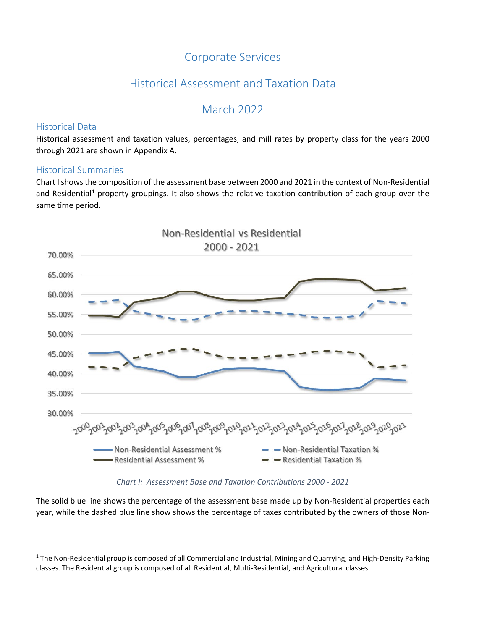#### Corporate Services

#### Historical Assessment and Taxation Data

#### March 2022

#### Historical Data

Historical assessment and taxation values, percentages, and mill rates by property class for the years 2000 through 2021 are shown in Appendix A.

#### Historical Summaries

Chart Ishows the composition of the assessment base between 2000 and 2021 in the context of Non-Residential and Residential<sup>[1](#page-0-0)</sup> property groupings. It also shows the relative taxation contribution of each group over the same time period.



*Chart I: Assessment Base and Taxation Contributions 2000 - 2021*

The solid blue line shows the percentage of the assessment base made up by Non-Residential properties each year, while the dashed blue line show shows the percentage of taxes contributed by the owners of those Non-

<span id="page-0-0"></span> $1$  The Non-Residential group is composed of all Commercial and Industrial, Mining and Quarrying, and High-Density Parking classes. The Residential group is composed of all Residential, Multi-Residential, and Agricultural classes.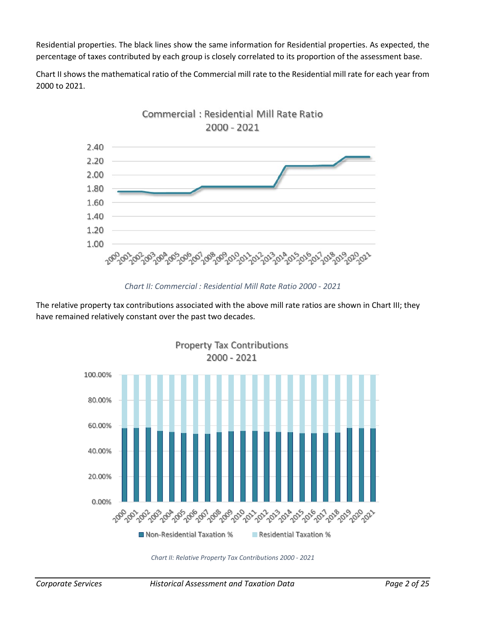Residential properties. The black lines show the same information for Residential properties. As expected, the percentage of taxes contributed by each group is closely correlated to its proportion of the assessment base.

Chart II shows the mathematical ratio of the Commercial mill rate to the Residential mill rate for each year from 2000 to 2021.



*Chart II: Commercial : Residential Mill Rate Ratio 2000 - 2021*

The relative property tax contributions associated with the above mill rate ratios are shown in Chart III; they have remained relatively constant over the past two decades.



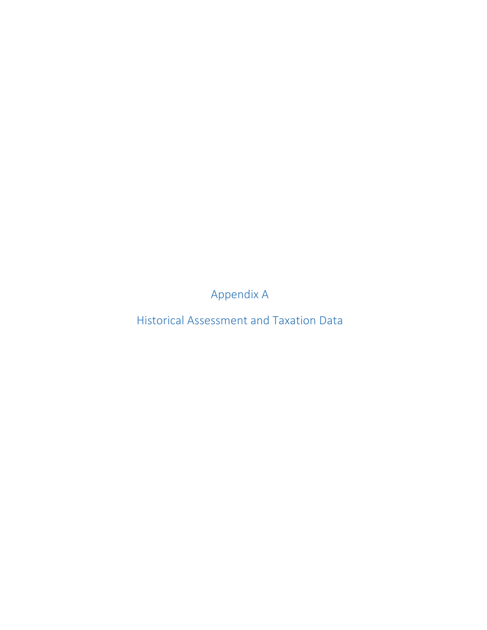Appendix A

Historical Assessment and Taxation Data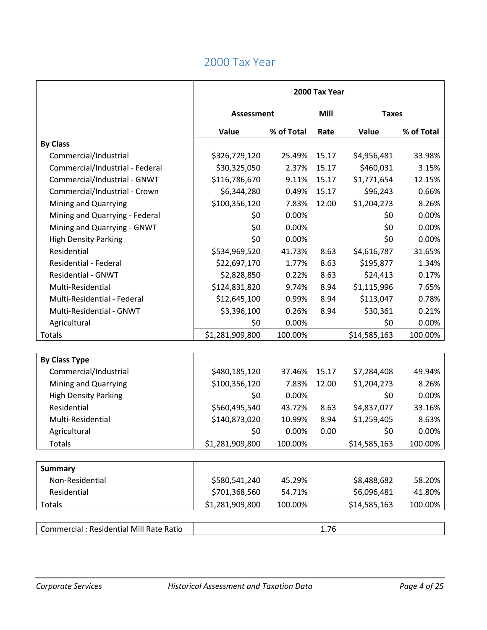|                                          | 2000 Tax Year     |            |                      |              |            |
|------------------------------------------|-------------------|------------|----------------------|--------------|------------|
|                                          | <b>Assessment</b> |            | Mill<br><b>Taxes</b> |              |            |
|                                          | Value             | % of Total | Rate                 | Value        | % of Total |
| <b>By Class</b>                          |                   |            |                      |              |            |
| Commercial/Industrial                    | \$326,729,120     | 25.49%     | 15.17                | \$4,956,481  | 33.98%     |
| Commercial/Industrial - Federal          | \$30,325,050      | 2.37%      | 15.17                | \$460,031    | 3.15%      |
| Commercial/Industrial - GNWT             | \$116,786,670     | 9.11%      | 15.17                | \$1,771,654  | 12.15%     |
| Commercial/Industrial - Crown            | \$6,344,280       | 0.49%      | 15.17                | \$96,243     | 0.66%      |
| Mining and Quarrying                     | \$100,356,120     | 7.83%      | 12.00                | \$1,204,273  | 8.26%      |
| Mining and Quarrying - Federal           | \$0               | 0.00%      |                      | \$0          | 0.00%      |
| Mining and Quarrying - GNWT              | \$0               | 0.00%      |                      | \$0          | 0.00%      |
| <b>High Density Parking</b>              | \$0               | 0.00%      |                      | \$0          | 0.00%      |
| Residential                              | \$534,969,520     | 41.73%     | 8.63                 | \$4,616,787  | 31.65%     |
| Residential - Federal                    | \$22,697,170      | 1.77%      | 8.63                 | \$195,877    | 1.34%      |
| <b>Residential - GNWT</b>                | \$2,828,850       | 0.22%      | 8.63                 | \$24,413     | 0.17%      |
| Multi-Residential                        | \$124,831,820     | 9.74%      | 8.94                 | \$1,115,996  | 7.65%      |
| Multi-Residential - Federal              | \$12,645,100      | 0.99%      | 8.94                 | \$113,047    | 0.78%      |
| Multi-Residential - GNWT                 | \$3,396,100       | 0.26%      | 8.94                 | \$30,361     | 0.21%      |
| Agricultural                             | \$0               | 0.00%      |                      | \$0          | 0.00%      |
| Totals                                   | \$1,281,909,800   | 100.00%    |                      | \$14,585,163 | 100.00%    |
|                                          |                   |            |                      |              |            |
| <b>By Class Type</b>                     |                   |            |                      |              |            |
| Commercial/Industrial                    | \$480,185,120     | 37.46%     | 15.17                | \$7,284,408  | 49.94%     |
| Mining and Quarrying                     | \$100,356,120     | 7.83%      | 12.00                | \$1,204,273  | 8.26%      |
| <b>High Density Parking</b>              | \$0               | 0.00%      |                      | \$0          | 0.00%      |
| Residential                              | \$560,495,540     | 43.72%     | 8.63                 | \$4,837,077  | 33.16%     |
| Multi-Residential                        | \$140,873,020     | 10.99%     | 8.94                 | \$1,259,405  | 8.63%      |
| Agricultural                             | \$0               | 0.00%      | 0.00                 | \$0          | 0.00%      |
| Totals                                   | \$1,281,909,800   | 100.00%    |                      | \$14,585,163 | 100.00%    |
|                                          |                   |            |                      |              |            |
| <b>Summary</b>                           |                   |            |                      |              |            |
| Non-Residential                          | \$580,541,240     | 45.29%     |                      | \$8,488,682  | 58.20%     |
| Residential                              | \$701,368,560     | 54.71%     |                      | \$6,096,481  | 41.80%     |
| Totals                                   | \$1,281,909,800   | 100.00%    |                      | \$14,585,163 | 100.00%    |
|                                          |                   |            |                      |              |            |
| Commercial : Residential Mill Rate Ratio |                   |            | 1.76                 |              |            |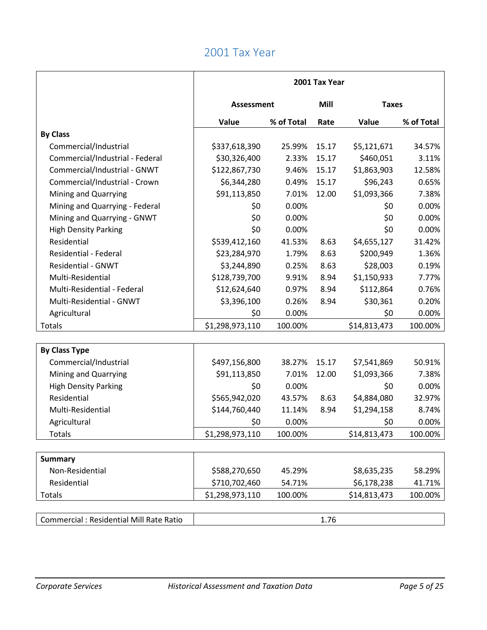|                                                | 2001 Tax Year     |            |       |              |            |  |
|------------------------------------------------|-------------------|------------|-------|--------------|------------|--|
|                                                | <b>Assessment</b> |            | Mill  | <b>Taxes</b> |            |  |
|                                                | Value             | % of Total | Rate  | Value        | % of Total |  |
| <b>By Class</b>                                |                   |            |       |              |            |  |
| Commercial/Industrial                          | \$337,618,390     | 25.99%     | 15.17 | \$5,121,671  | 34.57%     |  |
| Commercial/Industrial - Federal                | \$30,326,400      | 2.33%      | 15.17 | \$460,051    | 3.11%      |  |
| Commercial/Industrial - GNWT                   | \$122,867,730     | 9.46%      | 15.17 | \$1,863,903  | 12.58%     |  |
| Commercial/Industrial - Crown                  | \$6,344,280       | 0.49%      | 15.17 | \$96,243     | 0.65%      |  |
| Mining and Quarrying                           | \$91,113,850      | 7.01%      | 12.00 | \$1,093,366  | 7.38%      |  |
| Mining and Quarrying - Federal                 | \$0               | 0.00%      |       | \$0          | 0.00%      |  |
| Mining and Quarrying - GNWT                    | \$0               | 0.00%      |       | \$0          | 0.00%      |  |
| <b>High Density Parking</b>                    | \$0               | 0.00%      |       | \$0          | 0.00%      |  |
| Residential                                    | \$539,412,160     | 41.53%     | 8.63  | \$4,655,127  | 31.42%     |  |
| <b>Residential - Federal</b>                   | \$23,284,970      | 1.79%      | 8.63  | \$200,949    | 1.36%      |  |
| <b>Residential - GNWT</b>                      | \$3,244,890       | 0.25%      | 8.63  | \$28,003     | 0.19%      |  |
| Multi-Residential                              | \$128,739,700     | 9.91%      | 8.94  | \$1,150,933  | 7.77%      |  |
| Multi-Residential - Federal                    | \$12,624,640      | 0.97%      | 8.94  | \$112,864    | 0.76%      |  |
| Multi-Residential - GNWT                       | \$3,396,100       | 0.26%      | 8.94  | \$30,361     | 0.20%      |  |
| Agricultural                                   | \$0               | 0.00%      |       | \$0          | 0.00%      |  |
| Totals                                         | \$1,298,973,110   | 100.00%    |       | \$14,813,473 | 100.00%    |  |
|                                                |                   |            |       |              |            |  |
| <b>By Class Type</b>                           |                   |            |       |              |            |  |
| Commercial/Industrial                          | \$497,156,800     | 38.27%     | 15.17 | \$7,541,869  | 50.91%     |  |
| Mining and Quarrying                           | \$91,113,850      | 7.01%      | 12.00 | \$1,093,366  | 7.38%      |  |
| <b>High Density Parking</b>                    | \$0               | 0.00%      |       | \$0          | 0.00%      |  |
| Residential                                    | \$565,942,020     | 43.57%     | 8.63  | \$4,884,080  | 32.97%     |  |
| Multi-Residential                              | \$144,760,440     | 11.14%     | 8.94  | \$1,294,158  | 8.74%      |  |
| Agricultural                                   | \$0               | 0.00%      |       | \$0          | 0.00%      |  |
| <b>Totals</b>                                  | \$1,298,973,110   | 100.00%    |       | \$14,813,473 | 100.00%    |  |
|                                                |                   |            |       |              |            |  |
| <b>Summary</b>                                 |                   |            |       |              |            |  |
| Non-Residential                                | \$588,270,650     | 45.29%     |       | \$8,635,235  | 58.29%     |  |
| Residential                                    | \$710,702,460     | 54.71%     |       | \$6,178,238  | 41.71%     |  |
| <b>Totals</b>                                  | \$1,298,973,110   | 100.00%    |       | \$14,813,473 | 100.00%    |  |
|                                                |                   |            |       |              |            |  |
| <b>Commercial: Residential Mill Rate Ratio</b> |                   |            | 1.76  |              |            |  |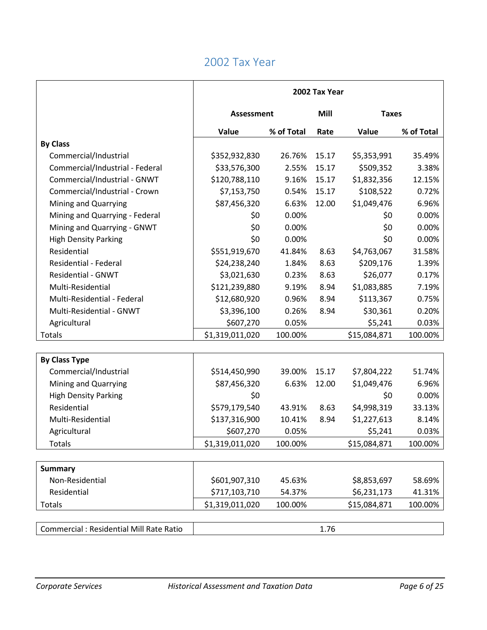|                                          | 2002 Tax Year     |            |                      |              |            |
|------------------------------------------|-------------------|------------|----------------------|--------------|------------|
|                                          | <b>Assessment</b> |            | Mill<br><b>Taxes</b> |              |            |
|                                          | Value             | % of Total | Rate                 | Value        | % of Total |
| <b>By Class</b>                          |                   |            |                      |              |            |
| Commercial/Industrial                    | \$352,932,830     | 26.76%     | 15.17                | \$5,353,991  | 35.49%     |
| Commercial/Industrial - Federal          | \$33,576,300      | 2.55%      | 15.17                | \$509,352    | 3.38%      |
| Commercial/Industrial - GNWT             | \$120,788,110     | 9.16%      | 15.17                | \$1,832,356  | 12.15%     |
| Commercial/Industrial - Crown            | \$7,153,750       | 0.54%      | 15.17                | \$108,522    | 0.72%      |
| Mining and Quarrying                     | \$87,456,320      | 6.63%      | 12.00                | \$1,049,476  | 6.96%      |
| Mining and Quarrying - Federal           | \$0               | 0.00%      |                      | \$0          | 0.00%      |
| Mining and Quarrying - GNWT              | \$0               | 0.00%      |                      | \$0          | 0.00%      |
| <b>High Density Parking</b>              | \$0               | 0.00%      |                      | \$0          | 0.00%      |
| Residential                              | \$551,919,670     | 41.84%     | 8.63                 | \$4,763,067  | 31.58%     |
| <b>Residential - Federal</b>             | \$24,238,240      | 1.84%      | 8.63                 | \$209,176    | 1.39%      |
| <b>Residential - GNWT</b>                | \$3,021,630       | 0.23%      | 8.63                 | \$26,077     | 0.17%      |
| Multi-Residential                        | \$121,239,880     | 9.19%      | 8.94                 | \$1,083,885  | 7.19%      |
| Multi-Residential - Federal              | \$12,680,920      | 0.96%      | 8.94                 | \$113,367    | 0.75%      |
| Multi-Residential - GNWT                 | \$3,396,100       | 0.26%      | 8.94                 | \$30,361     | 0.20%      |
| Agricultural                             | \$607,270         | 0.05%      |                      | \$5,241      | 0.03%      |
| Totals                                   | \$1,319,011,020   | 100.00%    |                      | \$15,084,871 | 100.00%    |
|                                          |                   |            |                      |              |            |
| <b>By Class Type</b>                     |                   |            |                      |              |            |
| Commercial/Industrial                    | \$514,450,990     | 39.00%     | 15.17                | \$7,804,222  | 51.74%     |
| Mining and Quarrying                     | \$87,456,320      | 6.63%      | 12.00                | \$1,049,476  | 6.96%      |
| <b>High Density Parking</b>              | \$0               |            |                      | \$0          | 0.00%      |
| Residential                              | \$579,179,540     | 43.91%     | 8.63                 | \$4,998,319  | 33.13%     |
| Multi-Residential                        | \$137,316,900     | 10.41%     | 8.94                 | \$1,227,613  | 8.14%      |
| Agricultural                             | \$607,270         | 0.05%      |                      | \$5,241      | 0.03%      |
| <b>Totals</b>                            | \$1,319,011,020   | 100.00%    |                      | \$15,084,871 | 100.00%    |
|                                          |                   |            |                      |              |            |
| <b>Summary</b>                           |                   |            |                      |              |            |
| Non-Residential                          | \$601,907,310     | 45.63%     |                      | \$8,853,697  | 58.69%     |
| Residential                              | \$717,103,710     | 54.37%     |                      | \$6,231,173  | 41.31%     |
| Totals                                   | \$1,319,011,020   | 100.00%    |                      | \$15,084,871 | 100.00%    |
|                                          |                   |            |                      |              |            |
| Commercial : Residential Mill Rate Ratio |                   |            | 1.76                 |              |            |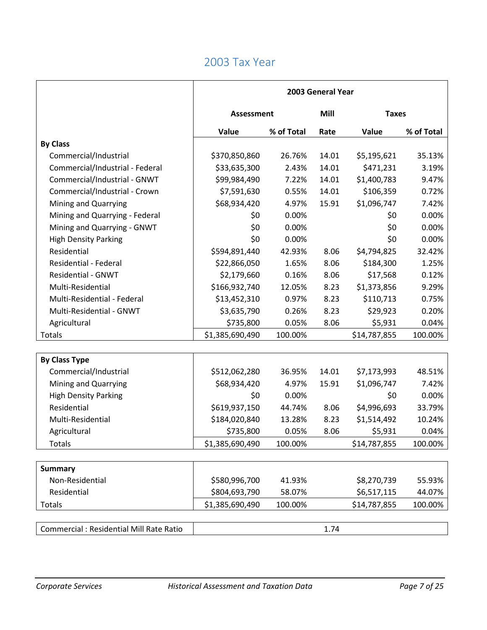|                                          | 2003 General Year |            |                      |              |            |
|------------------------------------------|-------------------|------------|----------------------|--------------|------------|
|                                          | <b>Assessment</b> |            | Mill<br><b>Taxes</b> |              |            |
|                                          | Value             | % of Total | Rate                 | Value        | % of Total |
| <b>By Class</b>                          |                   |            |                      |              |            |
| Commercial/Industrial                    | \$370,850,860     | 26.76%     | 14.01                | \$5,195,621  | 35.13%     |
| Commercial/Industrial - Federal          | \$33,635,300      | 2.43%      | 14.01                | \$471,231    | 3.19%      |
| Commercial/Industrial - GNWT             | \$99,984,490      | 7.22%      | 14.01                | \$1,400,783  | 9.47%      |
| Commercial/Industrial - Crown            | \$7,591,630       | 0.55%      | 14.01                | \$106,359    | 0.72%      |
| Mining and Quarrying                     | \$68,934,420      | 4.97%      | 15.91                | \$1,096,747  | 7.42%      |
| Mining and Quarrying - Federal           | \$0               | 0.00%      |                      | \$0          | 0.00%      |
| Mining and Quarrying - GNWT              | \$0               | 0.00%      |                      | \$0          | 0.00%      |
| <b>High Density Parking</b>              | \$0               | 0.00%      |                      | \$0          | 0.00%      |
| Residential                              | \$594,891,440     | 42.93%     | 8.06                 | \$4,794,825  | 32.42%     |
| <b>Residential - Federal</b>             | \$22,866,050      | 1.65%      | 8.06                 | \$184,300    | 1.25%      |
| <b>Residential - GNWT</b>                | \$2,179,660       | 0.16%      | 8.06                 | \$17,568     | 0.12%      |
| Multi-Residential                        | \$166,932,740     | 12.05%     | 8.23                 | \$1,373,856  | 9.29%      |
| Multi-Residential - Federal              | \$13,452,310      | 0.97%      | 8.23                 | \$110,713    | 0.75%      |
| Multi-Residential - GNWT                 | \$3,635,790       | 0.26%      | 8.23                 | \$29,923     | 0.20%      |
| Agricultural                             | \$735,800         | 0.05%      | 8.06                 | \$5,931      | 0.04%      |
| Totals                                   | \$1,385,690,490   | 100.00%    |                      | \$14,787,855 | 100.00%    |
|                                          |                   |            |                      |              |            |
| <b>By Class Type</b>                     |                   |            |                      |              |            |
| Commercial/Industrial                    | \$512,062,280     | 36.95%     | 14.01                | \$7,173,993  | 48.51%     |
| Mining and Quarrying                     | \$68,934,420      | 4.97%      | 15.91                | \$1,096,747  | 7.42%      |
| <b>High Density Parking</b>              | \$0               | 0.00%      |                      | \$0          | 0.00%      |
| Residential                              | \$619,937,150     | 44.74%     | 8.06                 | \$4,996,693  | 33.79%     |
| Multi-Residential                        | \$184,020,840     | 13.28%     | 8.23                 | \$1,514,492  | 10.24%     |
| Agricultural                             | \$735,800         | 0.05%      | 8.06                 | \$5,931      | 0.04%      |
| <b>Totals</b>                            | \$1,385,690,490   | 100.00%    |                      | \$14,787,855 | 100.00%    |
|                                          |                   |            |                      |              |            |
| <b>Summary</b>                           |                   |            |                      |              |            |
| Non-Residential                          | \$580,996,700     | 41.93%     |                      | \$8,270,739  | 55.93%     |
| Residential                              | \$804,693,790     | 58.07%     |                      | \$6,517,115  | 44.07%     |
| Totals                                   | \$1,385,690,490   | 100.00%    |                      | \$14,787,855 | 100.00%    |
|                                          |                   |            |                      |              |            |
| Commercial : Residential Mill Rate Ratio |                   |            | 1.74                 |              |            |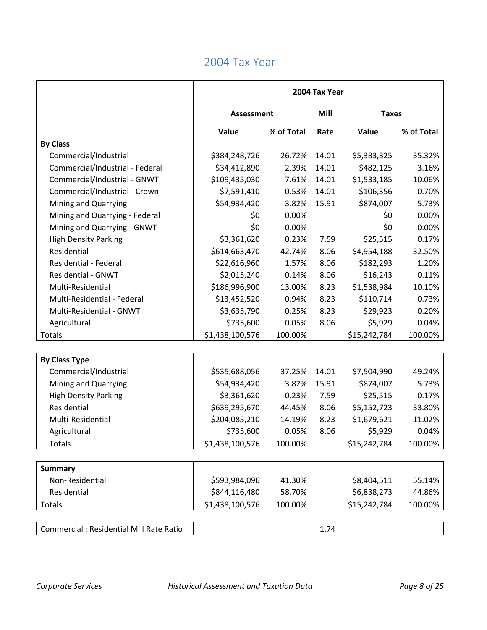|                                          | 2004 Tax Year     |            |                      |              |            |
|------------------------------------------|-------------------|------------|----------------------|--------------|------------|
|                                          | <b>Assessment</b> |            | Mill<br><b>Taxes</b> |              |            |
|                                          | Value             | % of Total | Rate                 | Value        | % of Total |
| <b>By Class</b>                          |                   |            |                      |              |            |
| Commercial/Industrial                    | \$384,248,726     | 26.72%     | 14.01                | \$5,383,325  | 35.32%     |
| Commercial/Industrial - Federal          | \$34,412,890      | 2.39%      | 14.01                | \$482,125    | 3.16%      |
| Commercial/Industrial - GNWT             | \$109,435,030     | 7.61%      | 14.01                | \$1,533,185  | 10.06%     |
| Commercial/Industrial - Crown            | \$7,591,410       | 0.53%      | 14.01                | \$106,356    | 0.70%      |
| Mining and Quarrying                     | \$54,934,420      | 3.82%      | 15.91                | \$874,007    | 5.73%      |
| Mining and Quarrying - Federal           | \$0               | 0.00%      |                      | \$0          | 0.00%      |
| Mining and Quarrying - GNWT              | \$0               | 0.00%      |                      | \$0          | 0.00%      |
| <b>High Density Parking</b>              | \$3,361,620       | 0.23%      | 7.59                 | \$25,515     | 0.17%      |
| Residential                              | \$614,663,470     | 42.74%     | 8.06                 | \$4,954,188  | 32.50%     |
| <b>Residential - Federal</b>             | \$22,616,960      | 1.57%      | 8.06                 | \$182,293    | 1.20%      |
| <b>Residential - GNWT</b>                | \$2,015,240       | 0.14%      | 8.06                 | \$16,243     | 0.11%      |
| Multi-Residential                        | \$186,996,900     | 13.00%     | 8.23                 | \$1,538,984  | 10.10%     |
| Multi-Residential - Federal              | \$13,452,520      | 0.94%      | 8.23                 | \$110,714    | 0.73%      |
| Multi-Residential - GNWT                 | \$3,635,790       | 0.25%      | 8.23                 | \$29,923     | 0.20%      |
| Agricultural                             | \$735,600         | 0.05%      | 8.06                 | \$5,929      | 0.04%      |
| Totals                                   | \$1,438,100,576   | 100.00%    |                      | \$15,242,784 | 100.00%    |
|                                          |                   |            |                      |              |            |
| <b>By Class Type</b>                     |                   |            |                      |              |            |
| Commercial/Industrial                    | \$535,688,056     | 37.25%     | 14.01                | \$7,504,990  | 49.24%     |
| Mining and Quarrying                     | \$54,934,420      | 3.82%      | 15.91                | \$874,007    | 5.73%      |
| <b>High Density Parking</b>              | \$3,361,620       | 0.23%      | 7.59                 | \$25,515     | 0.17%      |
| Residential                              | \$639,295,670     | 44.45%     | 8.06                 | \$5,152,723  | 33.80%     |
| Multi-Residential                        | \$204,085,210     | 14.19%     | 8.23                 | \$1,679,621  | 11.02%     |
| Agricultural                             | \$735,600         | 0.05%      | 8.06                 | \$5,929      | 0.04%      |
| Totals                                   | \$1,438,100,576   | 100.00%    |                      | \$15,242,784 | 100.00%    |
|                                          |                   |            |                      |              |            |
| <b>Summary</b>                           |                   |            |                      |              |            |
| Non-Residential                          | \$593,984,096     | 41.30%     |                      | \$8,404,511  | 55.14%     |
| Residential                              | \$844,116,480     | 58.70%     |                      | \$6,838,273  | 44.86%     |
| Totals                                   | \$1,438,100,576   | 100.00%    |                      | \$15,242,784 | 100.00%    |
|                                          |                   |            |                      |              |            |
| Commercial : Residential Mill Rate Ratio |                   |            | 1.74                 |              |            |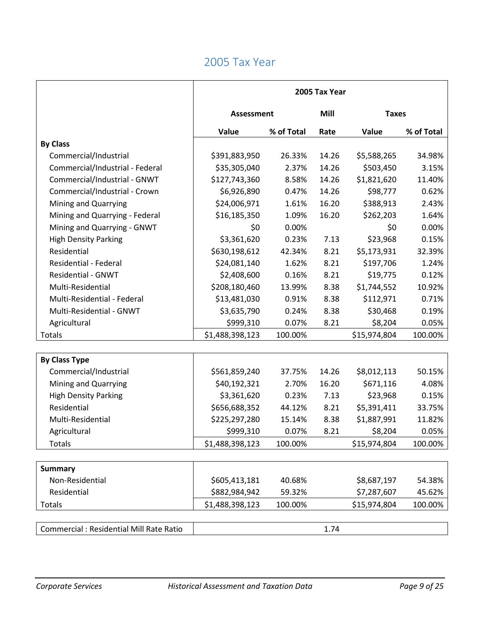|                                          | 2005 Tax Year     |            |                      |              |            |
|------------------------------------------|-------------------|------------|----------------------|--------------|------------|
|                                          | <b>Assessment</b> |            | Mill<br><b>Taxes</b> |              |            |
|                                          | Value             | % of Total | Rate                 | Value        | % of Total |
| <b>By Class</b>                          |                   |            |                      |              |            |
| Commercial/Industrial                    | \$391,883,950     | 26.33%     | 14.26                | \$5,588,265  | 34.98%     |
| Commercial/Industrial - Federal          | \$35,305,040      | 2.37%      | 14.26                | \$503,450    | 3.15%      |
| Commercial/Industrial - GNWT             | \$127,743,360     | 8.58%      | 14.26                | \$1,821,620  | 11.40%     |
| Commercial/Industrial - Crown            | \$6,926,890       | 0.47%      | 14.26                | \$98,777     | 0.62%      |
| Mining and Quarrying                     | \$24,006,971      | 1.61%      | 16.20                | \$388,913    | 2.43%      |
| Mining and Quarrying - Federal           | \$16,185,350      | 1.09%      | 16.20                | \$262,203    | 1.64%      |
| Mining and Quarrying - GNWT              | \$0               | 0.00%      |                      | \$0          | 0.00%      |
| <b>High Density Parking</b>              | \$3,361,620       | 0.23%      | 7.13                 | \$23,968     | 0.15%      |
| Residential                              | \$630,198,612     | 42.34%     | 8.21                 | \$5,173,931  | 32.39%     |
| Residential - Federal                    | \$24,081,140      | 1.62%      | 8.21                 | \$197,706    | 1.24%      |
| <b>Residential - GNWT</b>                | \$2,408,600       | 0.16%      | 8.21                 | \$19,775     | 0.12%      |
| Multi-Residential                        | \$208,180,460     | 13.99%     | 8.38                 | \$1,744,552  | 10.92%     |
| Multi-Residential - Federal              | \$13,481,030      | 0.91%      | 8.38                 | \$112,971    | 0.71%      |
| Multi-Residential - GNWT                 | \$3,635,790       | 0.24%      | 8.38                 | \$30,468     | 0.19%      |
| Agricultural                             | \$999,310         | 0.07%      | 8.21                 | \$8,204      | 0.05%      |
| Totals                                   | \$1,488,398,123   | 100.00%    |                      | \$15,974,804 | 100.00%    |
|                                          |                   |            |                      |              |            |
| <b>By Class Type</b>                     |                   |            |                      |              |            |
| Commercial/Industrial                    | \$561,859,240     | 37.75%     | 14.26                | \$8,012,113  | 50.15%     |
| Mining and Quarrying                     | \$40,192,321      | 2.70%      | 16.20                | \$671,116    | 4.08%      |
| <b>High Density Parking</b>              | \$3,361,620       | 0.23%      | 7.13                 | \$23,968     | 0.15%      |
| Residential                              | \$656,688,352     | 44.12%     | 8.21                 | \$5,391,411  | 33.75%     |
| Multi-Residential                        | \$225,297,280     | 15.14%     | 8.38                 | \$1,887,991  | 11.82%     |
| Agricultural                             | \$999,310         | 0.07%      | 8.21                 | \$8,204      | 0.05%      |
| Totals                                   | \$1,488,398,123   | 100.00%    |                      | \$15,974,804 | 100.00%    |
|                                          |                   |            |                      |              |            |
| <b>Summary</b>                           |                   |            |                      |              |            |
| Non-Residential                          | \$605,413,181     | 40.68%     |                      | \$8,687,197  | 54.38%     |
| Residential                              | \$882,984,942     | 59.32%     |                      | \$7,287,607  | 45.62%     |
| Totals                                   | \$1,488,398,123   | 100.00%    |                      | \$15,974,804 | 100.00%    |
| Commercial : Residential Mill Rate Ratio |                   |            | 1.74                 |              |            |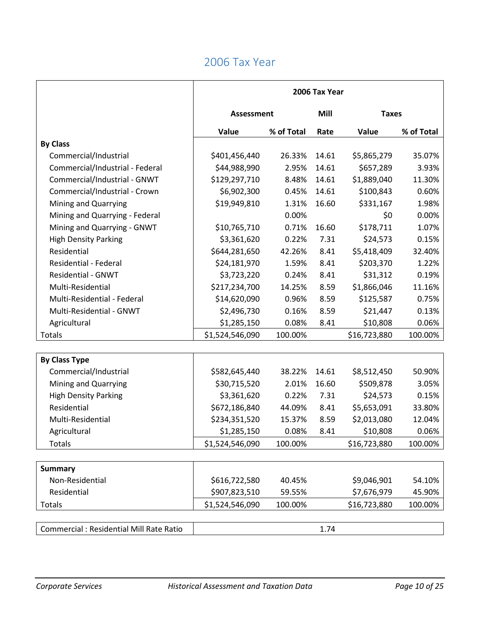|                                                | 2006 Tax Year     |            |                      |              |            |
|------------------------------------------------|-------------------|------------|----------------------|--------------|------------|
|                                                | <b>Assessment</b> |            | Mill<br><b>Taxes</b> |              |            |
|                                                | Value             | % of Total | Rate                 | Value        | % of Total |
| <b>By Class</b>                                |                   |            |                      |              |            |
| Commercial/Industrial                          | \$401,456,440     | 26.33%     | 14.61                | \$5,865,279  | 35.07%     |
| Commercial/Industrial - Federal                | \$44,988,990      | 2.95%      | 14.61                | \$657,289    | 3.93%      |
| Commercial/Industrial - GNWT                   | \$129,297,710     | 8.48%      | 14.61                | \$1,889,040  | 11.30%     |
| Commercial/Industrial - Crown                  | \$6,902,300       | 0.45%      | 14.61                | \$100,843    | 0.60%      |
| Mining and Quarrying                           | \$19,949,810      | 1.31%      | 16.60                | \$331,167    | 1.98%      |
| Mining and Quarrying - Federal                 |                   | 0.00%      |                      | \$0          | 0.00%      |
| Mining and Quarrying - GNWT                    | \$10,765,710      | 0.71%      | 16.60                | \$178,711    | 1.07%      |
| <b>High Density Parking</b>                    | \$3,361,620       | 0.22%      | 7.31                 | \$24,573     | 0.15%      |
| Residential                                    | \$644,281,650     | 42.26%     | 8.41                 | \$5,418,409  | 32.40%     |
| <b>Residential - Federal</b>                   | \$24,181,970      | 1.59%      | 8.41                 | \$203,370    | 1.22%      |
| <b>Residential - GNWT</b>                      | \$3,723,220       | 0.24%      | 8.41                 | \$31,312     | 0.19%      |
| Multi-Residential                              | \$217,234,700     | 14.25%     | 8.59                 | \$1,866,046  | 11.16%     |
| Multi-Residential - Federal                    | \$14,620,090      | 0.96%      | 8.59                 | \$125,587    | 0.75%      |
| Multi-Residential - GNWT                       | \$2,496,730       | 0.16%      | 8.59                 | \$21,447     | 0.13%      |
| Agricultural                                   | \$1,285,150       | 0.08%      | 8.41                 | \$10,808     | 0.06%      |
| Totals                                         | \$1,524,546,090   | 100.00%    |                      | \$16,723,880 | 100.00%    |
|                                                |                   |            |                      |              |            |
| <b>By Class Type</b>                           |                   |            |                      |              |            |
| Commercial/Industrial                          | \$582,645,440     | 38.22%     | 14.61                | \$8,512,450  | 50.90%     |
| Mining and Quarrying                           | \$30,715,520      | 2.01%      | 16.60                | \$509,878    | 3.05%      |
| <b>High Density Parking</b>                    | \$3,361,620       | 0.22%      | 7.31                 | \$24,573     | 0.15%      |
| Residential                                    | \$672,186,840     | 44.09%     | 8.41                 | \$5,653,091  | 33.80%     |
| Multi-Residential                              | \$234,351,520     | 15.37%     | 8.59                 | \$2,013,080  | 12.04%     |
| Agricultural                                   | \$1,285,150       | 0.08%      | 8.41                 | \$10,808     | 0.06%      |
| <b>Totals</b>                                  | \$1,524,546,090   | 100.00%    |                      | \$16,723,880 | 100.00%    |
|                                                |                   |            |                      |              |            |
| <b>Summary</b>                                 |                   |            |                      |              |            |
| Non-Residential                                | \$616,722,580     | 40.45%     |                      | \$9,046,901  | 54.10%     |
| Residential                                    | \$907,823,510     | 59.55%     |                      | \$7,676,979  | 45.90%     |
| Totals                                         | \$1,524,546,090   | 100.00%    |                      | \$16,723,880 | 100.00%    |
|                                                |                   |            |                      |              |            |
| <b>Commercial: Residential Mill Rate Ratio</b> |                   |            | 1.74                 |              |            |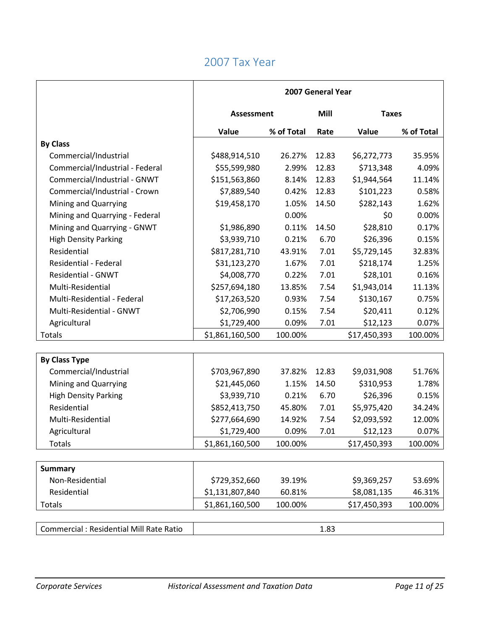|                                          | 2007 General Year |            |       |              |            |
|------------------------------------------|-------------------|------------|-------|--------------|------------|
|                                          | <b>Assessment</b> |            | Mill  | <b>Taxes</b> |            |
|                                          | Value             | % of Total | Rate  | Value        | % of Total |
| <b>By Class</b>                          |                   |            |       |              |            |
| Commercial/Industrial                    | \$488,914,510     | 26.27%     | 12.83 | \$6,272,773  | 35.95%     |
| Commercial/Industrial - Federal          | \$55,599,980      | 2.99%      | 12.83 | \$713,348    | 4.09%      |
| Commercial/Industrial - GNWT             | \$151,563,860     | 8.14%      | 12.83 | \$1,944,564  | 11.14%     |
| Commercial/Industrial - Crown            | \$7,889,540       | 0.42%      | 12.83 | \$101,223    | 0.58%      |
| Mining and Quarrying                     | \$19,458,170      | 1.05%      | 14.50 | \$282,143    | 1.62%      |
| Mining and Quarrying - Federal           |                   | 0.00%      |       | \$0          | 0.00%      |
| Mining and Quarrying - GNWT              | \$1,986,890       | 0.11%      | 14.50 | \$28,810     | 0.17%      |
| <b>High Density Parking</b>              | \$3,939,710       | 0.21%      | 6.70  | \$26,396     | 0.15%      |
| Residential                              | \$817,281,710     | 43.91%     | 7.01  | \$5,729,145  | 32.83%     |
| <b>Residential - Federal</b>             | \$31,123,270      | 1.67%      | 7.01  | \$218,174    | 1.25%      |
| <b>Residential - GNWT</b>                | \$4,008,770       | 0.22%      | 7.01  | \$28,101     | 0.16%      |
| Multi-Residential                        | \$257,694,180     | 13.85%     | 7.54  | \$1,943,014  | 11.13%     |
| Multi-Residential - Federal              | \$17,263,520      | 0.93%      | 7.54  | \$130,167    | 0.75%      |
| Multi-Residential - GNWT                 | \$2,706,990       | 0.15%      | 7.54  | \$20,411     | 0.12%      |
| Agricultural                             | \$1,729,400       | 0.09%      | 7.01  | \$12,123     | 0.07%      |
| Totals                                   | \$1,861,160,500   | 100.00%    |       | \$17,450,393 | 100.00%    |
|                                          |                   |            |       |              |            |
| <b>By Class Type</b>                     |                   |            |       |              |            |
| Commercial/Industrial                    | \$703,967,890     | 37.82%     | 12.83 | \$9,031,908  | 51.76%     |
| Mining and Quarrying                     | \$21,445,060      | 1.15%      | 14.50 | \$310,953    | 1.78%      |
| <b>High Density Parking</b>              | \$3,939,710       | 0.21%      | 6.70  | \$26,396     | 0.15%      |
| Residential                              | \$852,413,750     | 45.80%     | 7.01  | \$5,975,420  | 34.24%     |
| Multi-Residential                        | \$277,664,690     | 14.92%     | 7.54  | \$2,093,592  | 12.00%     |
| Agricultural                             | \$1,729,400       | 0.09%      | 7.01  | \$12,123     | 0.07%      |
| <b>Totals</b>                            | \$1,861,160,500   | 100.00%    |       | \$17,450,393 | 100.00%    |
|                                          |                   |            |       |              |            |
| <b>Summary</b>                           |                   |            |       |              |            |
| Non-Residential                          | \$729,352,660     | 39.19%     |       | \$9,369,257  | 53.69%     |
| Residential                              | \$1,131,807,840   | 60.81%     |       | \$8,081,135  | 46.31%     |
| Totals                                   | \$1,861,160,500   | 100.00%    |       | \$17,450,393 | 100.00%    |
|                                          |                   |            |       |              |            |
| Commercial : Residential Mill Rate Ratio |                   |            | 1.83  |              |            |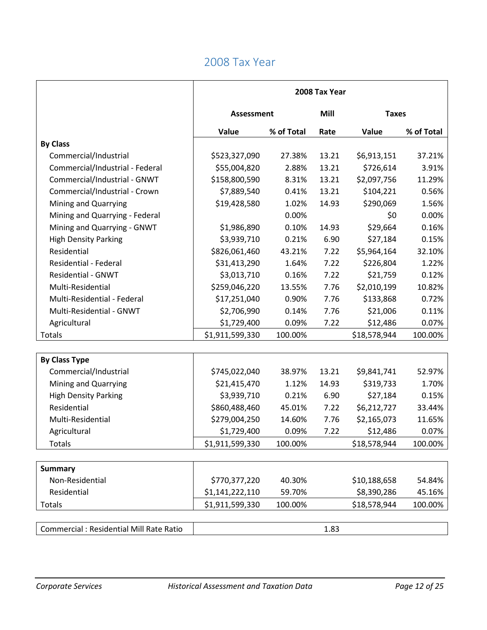|                                                | 2008 Tax Year     |            |       |              |            |  |
|------------------------------------------------|-------------------|------------|-------|--------------|------------|--|
|                                                | <b>Assessment</b> |            | Mill  | <b>Taxes</b> |            |  |
|                                                | Value             | % of Total | Rate  | Value        | % of Total |  |
| <b>By Class</b>                                |                   |            |       |              |            |  |
| Commercial/Industrial                          | \$523,327,090     | 27.38%     | 13.21 | \$6,913,151  | 37.21%     |  |
| Commercial/Industrial - Federal                | \$55,004,820      | 2.88%      | 13.21 | \$726,614    | 3.91%      |  |
| Commercial/Industrial - GNWT                   | \$158,800,590     | 8.31%      | 13.21 | \$2,097,756  | 11.29%     |  |
| Commercial/Industrial - Crown                  | \$7,889,540       | 0.41%      | 13.21 | \$104,221    | 0.56%      |  |
| Mining and Quarrying                           | \$19,428,580      | 1.02%      | 14.93 | \$290,069    | 1.56%      |  |
| Mining and Quarrying - Federal                 |                   | 0.00%      |       | \$0          | 0.00%      |  |
| Mining and Quarrying - GNWT                    | \$1,986,890       | 0.10%      | 14.93 | \$29,664     | 0.16%      |  |
| <b>High Density Parking</b>                    | \$3,939,710       | 0.21%      | 6.90  | \$27,184     | 0.15%      |  |
| Residential                                    | \$826,061,460     | 43.21%     | 7.22  | \$5,964,164  | 32.10%     |  |
| Residential - Federal                          | \$31,413,290      | 1.64%      | 7.22  | \$226,804    | 1.22%      |  |
| Residential - GNWT                             | \$3,013,710       | 0.16%      | 7.22  | \$21,759     | 0.12%      |  |
| Multi-Residential                              | \$259,046,220     | 13.55%     | 7.76  | \$2,010,199  | 10.82%     |  |
| Multi-Residential - Federal                    | \$17,251,040      | 0.90%      | 7.76  | \$133,868    | 0.72%      |  |
| Multi-Residential - GNWT                       | \$2,706,990       | 0.14%      | 7.76  | \$21,006     | 0.11%      |  |
| Agricultural                                   | \$1,729,400       | 0.09%      | 7.22  | \$12,486     | 0.07%      |  |
| Totals                                         | \$1,911,599,330   | 100.00%    |       | \$18,578,944 | 100.00%    |  |
|                                                |                   |            |       |              |            |  |
| <b>By Class Type</b>                           |                   |            |       |              |            |  |
| Commercial/Industrial                          | \$745,022,040     | 38.97%     | 13.21 | \$9,841,741  | 52.97%     |  |
| Mining and Quarrying                           | \$21,415,470      | 1.12%      | 14.93 | \$319,733    | 1.70%      |  |
| <b>High Density Parking</b>                    | \$3,939,710       | 0.21%      | 6.90  | \$27,184     | 0.15%      |  |
| Residential                                    | \$860,488,460     | 45.01%     | 7.22  | \$6,212,727  | 33.44%     |  |
| Multi-Residential                              | \$279,004,250     | 14.60%     | 7.76  | \$2,165,073  | 11.65%     |  |
| Agricultural                                   | \$1,729,400       | 0.09%      | 7.22  | \$12,486     | 0.07%      |  |
| Totals                                         | \$1,911,599,330   | 100.00%    |       | \$18,578,944 | 100.00%    |  |
|                                                |                   |            |       |              |            |  |
| <b>Summary</b>                                 |                   |            |       |              |            |  |
| Non-Residential                                | \$770,377,220     | 40.30%     |       | \$10,188,658 | 54.84%     |  |
| Residential                                    | \$1,141,222,110   | 59.70%     |       | \$8,390,286  | 45.16%     |  |
| Totals                                         | \$1,911,599,330   | 100.00%    |       | \$18,578,944 | 100.00%    |  |
|                                                |                   |            |       |              |            |  |
| <b>Commercial: Residential Mill Rate Ratio</b> |                   |            | 1.83  |              |            |  |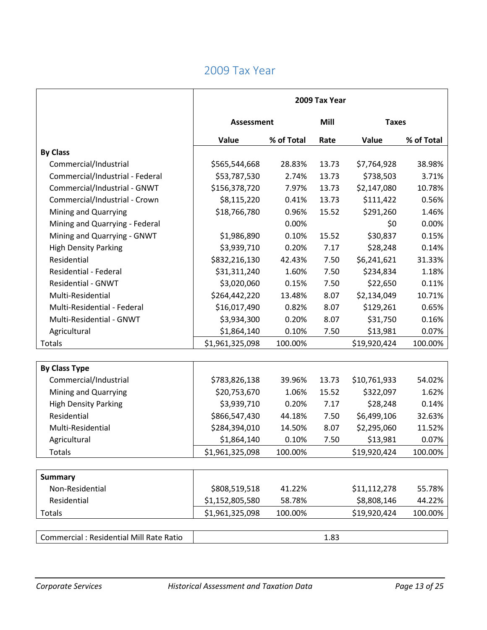|                                                | 2009 Tax Year   |            |       |              |            |  |
|------------------------------------------------|-----------------|------------|-------|--------------|------------|--|
|                                                | Assessment      |            | Mill  | <b>Taxes</b> |            |  |
|                                                | Value           | % of Total | Rate  | Value        | % of Total |  |
| <b>By Class</b>                                |                 |            |       |              |            |  |
| Commercial/Industrial                          | \$565,544,668   | 28.83%     | 13.73 | \$7,764,928  | 38.98%     |  |
| Commercial/Industrial - Federal                | \$53,787,530    | 2.74%      | 13.73 | \$738,503    | 3.71%      |  |
| Commercial/Industrial - GNWT                   | \$156,378,720   | 7.97%      | 13.73 | \$2,147,080  | 10.78%     |  |
| Commercial/Industrial - Crown                  | \$8,115,220     | 0.41%      | 13.73 | \$111,422    | 0.56%      |  |
| Mining and Quarrying                           | \$18,766,780    | 0.96%      | 15.52 | \$291,260    | 1.46%      |  |
| Mining and Quarrying - Federal                 |                 | 0.00%      |       | \$0          | 0.00%      |  |
| Mining and Quarrying - GNWT                    | \$1,986,890     | 0.10%      | 15.52 | \$30,837     | 0.15%      |  |
| <b>High Density Parking</b>                    | \$3,939,710     | 0.20%      | 7.17  | \$28,248     | 0.14%      |  |
| Residential                                    | \$832,216,130   | 42.43%     | 7.50  | \$6,241,621  | 31.33%     |  |
| <b>Residential - Federal</b>                   | \$31,311,240    | 1.60%      | 7.50  | \$234,834    | 1.18%      |  |
| <b>Residential - GNWT</b>                      | \$3,020,060     | 0.15%      | 7.50  | \$22,650     | 0.11%      |  |
| Multi-Residential                              | \$264,442,220   | 13.48%     | 8.07  | \$2,134,049  | 10.71%     |  |
| Multi-Residential - Federal                    | \$16,017,490    | 0.82%      | 8.07  | \$129,261    | 0.65%      |  |
| Multi-Residential - GNWT                       | \$3,934,300     | 0.20%      | 8.07  | \$31,750     | 0.16%      |  |
| Agricultural                                   | \$1,864,140     | 0.10%      | 7.50  | \$13,981     | 0.07%      |  |
| Totals                                         | \$1,961,325,098 | 100.00%    |       | \$19,920,424 | 100.00%    |  |
|                                                |                 |            |       |              |            |  |
| <b>By Class Type</b>                           |                 |            |       |              |            |  |
| Commercial/Industrial                          | \$783,826,138   | 39.96%     | 13.73 | \$10,761,933 | 54.02%     |  |
| Mining and Quarrying                           | \$20,753,670    | 1.06%      | 15.52 | \$322,097    | 1.62%      |  |
| <b>High Density Parking</b>                    | \$3,939,710     | 0.20%      | 7.17  | \$28,248     | 0.14%      |  |
| Residential                                    | \$866,547,430   | 44.18%     | 7.50  | \$6,499,106  | 32.63%     |  |
| Multi-Residential                              | \$284,394,010   | 14.50%     | 8.07  | \$2,295,060  | 11.52%     |  |
| Agricultural                                   | \$1,864,140     | 0.10%      | 7.50  | \$13,981     | 0.07%      |  |
| <b>Totals</b>                                  | \$1,961,325,098 | 100.00%    |       | \$19,920,424 | 100.00%    |  |
|                                                |                 |            |       |              |            |  |
| <b>Summary</b>                                 |                 |            |       |              |            |  |
| Non-Residential                                | \$808,519,518   | 41.22%     |       | \$11,112,278 | 55.78%     |  |
| Residential                                    | \$1,152,805,580 | 58.78%     |       | \$8,808,146  | 44.22%     |  |
| Totals                                         | \$1,961,325,098 | 100.00%    |       | \$19,920,424 | 100.00%    |  |
|                                                |                 |            |       |              |            |  |
| <b>Commercial: Residential Mill Rate Ratio</b> |                 |            | 1.83  |              |            |  |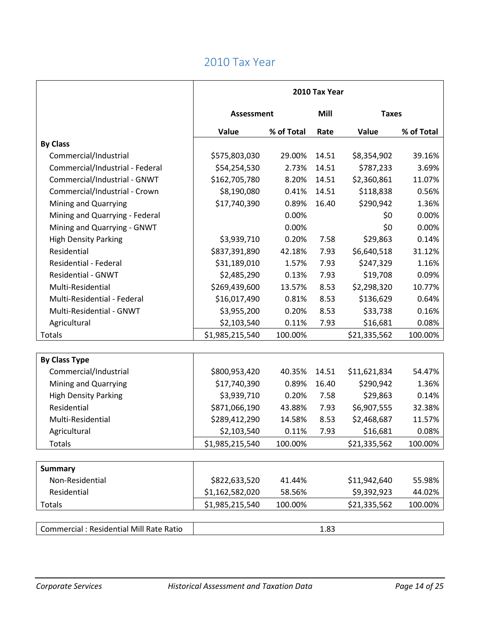|                                          | 2010 Tax Year     |            |                      |              |            |
|------------------------------------------|-------------------|------------|----------------------|--------------|------------|
|                                          | <b>Assessment</b> |            | Mill<br><b>Taxes</b> |              |            |
|                                          | Value             | % of Total | Rate                 | Value        | % of Total |
| <b>By Class</b>                          |                   |            |                      |              |            |
| Commercial/Industrial                    | \$575,803,030     | 29.00%     | 14.51                | \$8,354,902  | 39.16%     |
| Commercial/Industrial - Federal          | \$54,254,530      | 2.73%      | 14.51                | \$787,233    | 3.69%      |
| Commercial/Industrial - GNWT             | \$162,705,780     | 8.20%      | 14.51                | \$2,360,861  | 11.07%     |
| Commercial/Industrial - Crown            | \$8,190,080       | 0.41%      | 14.51                | \$118,838    | 0.56%      |
| Mining and Quarrying                     | \$17,740,390      | 0.89%      | 16.40                | \$290,942    | 1.36%      |
| Mining and Quarrying - Federal           |                   | 0.00%      |                      | \$0          | 0.00%      |
| Mining and Quarrying - GNWT              |                   | 0.00%      |                      | \$0          | 0.00%      |
| <b>High Density Parking</b>              | \$3,939,710       | 0.20%      | 7.58                 | \$29,863     | 0.14%      |
| Residential                              | \$837,391,890     | 42.18%     | 7.93                 | \$6,640,518  | 31.12%     |
| <b>Residential - Federal</b>             | \$31,189,010      | 1.57%      | 7.93                 | \$247,329    | 1.16%      |
| <b>Residential - GNWT</b>                | \$2,485,290       | 0.13%      | 7.93                 | \$19,708     | 0.09%      |
| Multi-Residential                        | \$269,439,600     | 13.57%     | 8.53                 | \$2,298,320  | 10.77%     |
| Multi-Residential - Federal              | \$16,017,490      | 0.81%      | 8.53                 | \$136,629    | 0.64%      |
| Multi-Residential - GNWT                 | \$3,955,200       | 0.20%      | 8.53                 | \$33,738     | 0.16%      |
| Agricultural                             | \$2,103,540       | 0.11%      | 7.93                 | \$16,681     | 0.08%      |
| Totals                                   | \$1,985,215,540   | 100.00%    |                      | \$21,335,562 | 100.00%    |
|                                          |                   |            |                      |              |            |
| <b>By Class Type</b>                     |                   |            |                      |              |            |
| Commercial/Industrial                    | \$800,953,420     | 40.35%     | 14.51                | \$11,621,834 | 54.47%     |
| Mining and Quarrying                     | \$17,740,390      | 0.89%      | 16.40                | \$290,942    | 1.36%      |
| <b>High Density Parking</b>              | \$3,939,710       | 0.20%      | 7.58                 | \$29,863     | 0.14%      |
| Residential                              | \$871,066,190     | 43.88%     | 7.93                 | \$6,907,555  | 32.38%     |
| Multi-Residential                        | \$289,412,290     | 14.58%     | 8.53                 | \$2,468,687  | 11.57%     |
| Agricultural                             | \$2,103,540       | 0.11%      | 7.93                 | \$16,681     | 0.08%      |
| <b>Totals</b>                            | \$1,985,215,540   | 100.00%    |                      | \$21,335,562 | 100.00%    |
|                                          |                   |            |                      |              |            |
| <b>Summary</b>                           |                   |            |                      |              |            |
| Non-Residential                          | \$822,633,520     | 41.44%     |                      | \$11,942,640 | 55.98%     |
| Residential                              | \$1,162,582,020   | 58.56%     |                      | \$9,392,923  | 44.02%     |
| Totals                                   | \$1,985,215,540   | 100.00%    |                      | \$21,335,562 | 100.00%    |
|                                          |                   |            |                      |              |            |
| Commercial : Residential Mill Rate Ratio |                   |            | 1.83                 |              |            |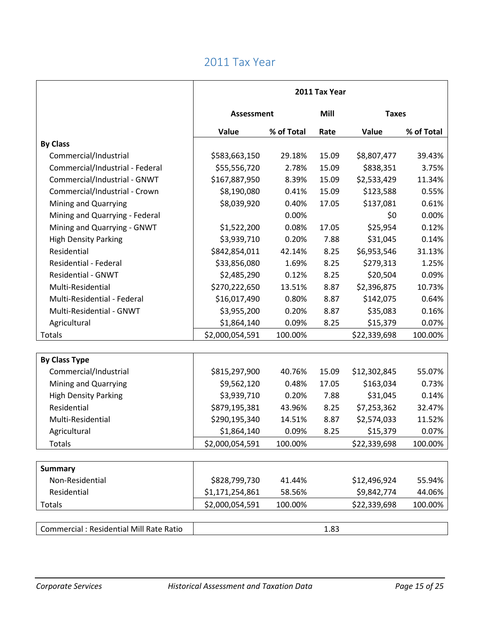|                                          | 2011 Tax Year     |            |       |              |            |
|------------------------------------------|-------------------|------------|-------|--------------|------------|
|                                          | <b>Assessment</b> |            | Mill  | <b>Taxes</b> |            |
|                                          | Value             | % of Total | Rate  | Value        | % of Total |
| <b>By Class</b>                          |                   |            |       |              |            |
| Commercial/Industrial                    | \$583,663,150     | 29.18%     | 15.09 | \$8,807,477  | 39.43%     |
| Commercial/Industrial - Federal          | \$55,556,720      | 2.78%      | 15.09 | \$838,351    | 3.75%      |
| Commercial/Industrial - GNWT             | \$167,887,950     | 8.39%      | 15.09 | \$2,533,429  | 11.34%     |
| Commercial/Industrial - Crown            | \$8,190,080       | 0.41%      | 15.09 | \$123,588    | 0.55%      |
| Mining and Quarrying                     | \$8,039,920       | 0.40%      | 17.05 | \$137,081    | 0.61%      |
| Mining and Quarrying - Federal           |                   | 0.00%      |       | \$0          | 0.00%      |
| Mining and Quarrying - GNWT              | \$1,522,200       | 0.08%      | 17.05 | \$25,954     | 0.12%      |
| <b>High Density Parking</b>              | \$3,939,710       | 0.20%      | 7.88  | \$31,045     | 0.14%      |
| Residential                              | \$842,854,011     | 42.14%     | 8.25  | \$6,953,546  | 31.13%     |
| Residential - Federal                    | \$33,856,080      | 1.69%      | 8.25  | \$279,313    | 1.25%      |
| <b>Residential - GNWT</b>                | \$2,485,290       | 0.12%      | 8.25  | \$20,504     | 0.09%      |
| Multi-Residential                        | \$270,222,650     | 13.51%     | 8.87  | \$2,396,875  | 10.73%     |
| Multi-Residential - Federal              | \$16,017,490      | 0.80%      | 8.87  | \$142,075    | 0.64%      |
| Multi-Residential - GNWT                 | \$3,955,200       | 0.20%      | 8.87  | \$35,083     | 0.16%      |
| Agricultural                             | \$1,864,140       | 0.09%      | 8.25  | \$15,379     | 0.07%      |
| Totals                                   | \$2,000,054,591   | 100.00%    |       | \$22,339,698 | 100.00%    |
|                                          |                   |            |       |              |            |
| <b>By Class Type</b>                     |                   |            |       |              |            |
| Commercial/Industrial                    | \$815,297,900     | 40.76%     | 15.09 | \$12,302,845 | 55.07%     |
| Mining and Quarrying                     | \$9,562,120       | 0.48%      | 17.05 | \$163,034    | 0.73%      |
| <b>High Density Parking</b>              | \$3,939,710       | 0.20%      | 7.88  | \$31,045     | 0.14%      |
| Residential                              | \$879,195,381     | 43.96%     | 8.25  | \$7,253,362  | 32.47%     |
| Multi-Residential                        | \$290,195,340     | 14.51%     | 8.87  | \$2,574,033  | 11.52%     |
| Agricultural                             | \$1,864,140       | 0.09%      | 8.25  | \$15,379     | 0.07%      |
| <b>Totals</b>                            | \$2,000,054,591   | 100.00%    |       | \$22,339,698 | 100.00%    |
|                                          |                   |            |       |              |            |
| <b>Summary</b>                           |                   |            |       |              |            |
| Non-Residential                          | \$828,799,730     | 41.44%     |       | \$12,496,924 | 55.94%     |
| Residential                              | \$1,171,254,861   | 58.56%     |       | \$9,842,774  | 44.06%     |
| Totals                                   | \$2,000,054,591   | 100.00%    |       | \$22,339,698 | 100.00%    |
| Commercial : Residential Mill Rate Ratio |                   |            | 1.83  |              |            |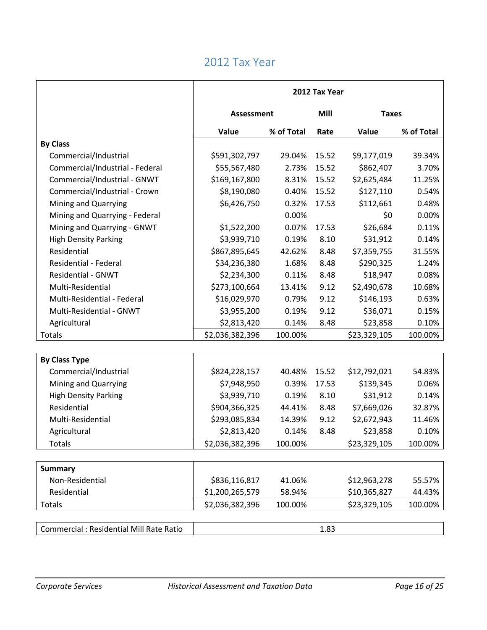|                                          | 2012 Tax Year     |            |                      |              |            |
|------------------------------------------|-------------------|------------|----------------------|--------------|------------|
|                                          | <b>Assessment</b> |            | Mill<br><b>Taxes</b> |              |            |
|                                          | Value             | % of Total | Rate                 | Value        | % of Total |
| <b>By Class</b>                          |                   |            |                      |              |            |
| Commercial/Industrial                    | \$591,302,797     | 29.04%     | 15.52                | \$9,177,019  | 39.34%     |
| Commercial/Industrial - Federal          | \$55,567,480      | 2.73%      | 15.52                | \$862,407    | 3.70%      |
| Commercial/Industrial - GNWT             | \$169,167,800     | 8.31%      | 15.52                | \$2,625,484  | 11.25%     |
| Commercial/Industrial - Crown            | \$8,190,080       | 0.40%      | 15.52                | \$127,110    | 0.54%      |
| Mining and Quarrying                     | \$6,426,750       | 0.32%      | 17.53                | \$112,661    | 0.48%      |
| Mining and Quarrying - Federal           |                   | 0.00%      |                      | \$0          | 0.00%      |
| Mining and Quarrying - GNWT              | \$1,522,200       | 0.07%      | 17.53                | \$26,684     | 0.11%      |
| <b>High Density Parking</b>              | \$3,939,710       | 0.19%      | 8.10                 | \$31,912     | 0.14%      |
| Residential                              | \$867,895,645     | 42.62%     | 8.48                 | \$7,359,755  | 31.55%     |
| <b>Residential - Federal</b>             | \$34,236,380      | 1.68%      | 8.48                 | \$290,325    | 1.24%      |
| <b>Residential - GNWT</b>                | \$2,234,300       | 0.11%      | 8.48                 | \$18,947     | 0.08%      |
| Multi-Residential                        | \$273,100,664     | 13.41%     | 9.12                 | \$2,490,678  | 10.68%     |
| Multi-Residential - Federal              | \$16,029,970      | 0.79%      | 9.12                 | \$146,193    | 0.63%      |
| Multi-Residential - GNWT                 | \$3,955,200       | 0.19%      | 9.12                 | \$36,071     | 0.15%      |
| Agricultural                             | \$2,813,420       | 0.14%      | 8.48                 | \$23,858     | 0.10%      |
| Totals                                   | \$2,036,382,396   | 100.00%    |                      | \$23,329,105 | 100.00%    |
|                                          |                   |            |                      |              |            |
| <b>By Class Type</b>                     |                   |            |                      |              |            |
| Commercial/Industrial                    | \$824,228,157     | 40.48%     | 15.52                | \$12,792,021 | 54.83%     |
| Mining and Quarrying                     | \$7,948,950       | 0.39%      | 17.53                | \$139,345    | 0.06%      |
| <b>High Density Parking</b>              | \$3,939,710       | 0.19%      | 8.10                 | \$31,912     | 0.14%      |
| Residential                              | \$904,366,325     | 44.41%     | 8.48                 | \$7,669,026  | 32.87%     |
| Multi-Residential                        | \$293,085,834     | 14.39%     | 9.12                 | \$2,672,943  | 11.46%     |
| Agricultural                             | \$2,813,420       | 0.14%      | 8.48                 | \$23,858     | 0.10%      |
| <b>Totals</b>                            | \$2,036,382,396   | 100.00%    |                      | \$23,329,105 | 100.00%    |
|                                          |                   |            |                      |              |            |
| <b>Summary</b>                           |                   |            |                      |              |            |
| Non-Residential                          | \$836,116,817     | 41.06%     |                      | \$12,963,278 | 55.57%     |
| Residential                              | \$1,200,265,579   | 58.94%     |                      | \$10,365,827 | 44.43%     |
| Totals                                   | \$2,036,382,396   | 100.00%    |                      | \$23,329,105 | 100.00%    |
|                                          |                   |            |                      |              |            |
| Commercial : Residential Mill Rate Ratio |                   |            | 1.83                 |              |            |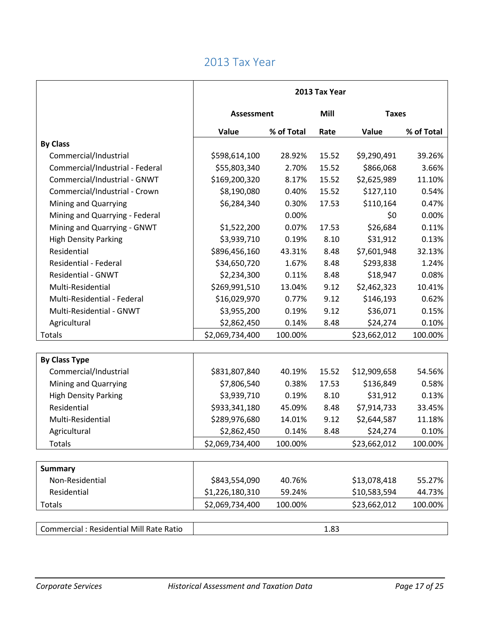|                                          | 2013 Tax Year     |            |                      |              |            |  |
|------------------------------------------|-------------------|------------|----------------------|--------------|------------|--|
|                                          | <b>Assessment</b> |            | Mill<br><b>Taxes</b> |              |            |  |
|                                          | Value             | % of Total | Rate                 | Value        | % of Total |  |
| <b>By Class</b>                          |                   |            |                      |              |            |  |
| Commercial/Industrial                    | \$598,614,100     | 28.92%     | 15.52                | \$9,290,491  | 39.26%     |  |
| Commercial/Industrial - Federal          | \$55,803,340      | 2.70%      | 15.52                | \$866,068    | 3.66%      |  |
| Commercial/Industrial - GNWT             | \$169,200,320     | 8.17%      | 15.52                | \$2,625,989  | 11.10%     |  |
| Commercial/Industrial - Crown            | \$8,190,080       | 0.40%      | 15.52                | \$127,110    | 0.54%      |  |
| Mining and Quarrying                     | \$6,284,340       | 0.30%      | 17.53                | \$110,164    | 0.47%      |  |
| Mining and Quarrying - Federal           |                   | 0.00%      |                      | \$0          | 0.00%      |  |
| Mining and Quarrying - GNWT              | \$1,522,200       | 0.07%      | 17.53                | \$26,684     | 0.11%      |  |
| <b>High Density Parking</b>              | \$3,939,710       | 0.19%      | 8.10                 | \$31,912     | 0.13%      |  |
| Residential                              | \$896,456,160     | 43.31%     | 8.48                 | \$7,601,948  | 32.13%     |  |
| <b>Residential - Federal</b>             | \$34,650,720      | 1.67%      | 8.48                 | \$293,838    | 1.24%      |  |
| <b>Residential - GNWT</b>                | \$2,234,300       | 0.11%      | 8.48                 | \$18,947     | 0.08%      |  |
| Multi-Residential                        | \$269,991,510     | 13.04%     | 9.12                 | \$2,462,323  | 10.41%     |  |
| Multi-Residential - Federal              | \$16,029,970      | 0.77%      | 9.12                 | \$146,193    | 0.62%      |  |
| Multi-Residential - GNWT                 | \$3,955,200       | 0.19%      | 9.12                 | \$36,071     | 0.15%      |  |
| Agricultural                             | \$2,862,450       | 0.14%      | 8.48                 | \$24,274     | 0.10%      |  |
| Totals                                   | \$2,069,734,400   | 100.00%    |                      | \$23,662,012 | 100.00%    |  |
|                                          |                   |            |                      |              |            |  |
| <b>By Class Type</b>                     |                   |            |                      |              |            |  |
| Commercial/Industrial                    | \$831,807,840     | 40.19%     | 15.52                | \$12,909,658 | 54.56%     |  |
| Mining and Quarrying                     | \$7,806,540       | 0.38%      | 17.53                | \$136,849    | 0.58%      |  |
| <b>High Density Parking</b>              | \$3,939,710       | 0.19%      | 8.10                 | \$31,912     | 0.13%      |  |
| Residential                              | \$933,341,180     | 45.09%     | 8.48                 | \$7,914,733  | 33.45%     |  |
| Multi-Residential                        | \$289,976,680     | 14.01%     | 9.12                 | \$2,644,587  | 11.18%     |  |
| Agricultural                             | \$2,862,450       | 0.14%      | 8.48                 | \$24,274     | 0.10%      |  |
| Totals                                   | \$2,069,734,400   | 100.00%    |                      | \$23,662,012 | 100.00%    |  |
|                                          |                   |            |                      |              |            |  |
| <b>Summary</b>                           |                   |            |                      |              |            |  |
| Non-Residential                          | \$843,554,090     | 40.76%     |                      | \$13,078,418 | 55.27%     |  |
| Residential                              | \$1,226,180,310   | 59.24%     |                      | \$10,583,594 | 44.73%     |  |
| Totals                                   | \$2,069,734,400   | 100.00%    |                      | \$23,662,012 | 100.00%    |  |
| Commercial : Residential Mill Rate Ratio |                   |            | 1.83                 |              |            |  |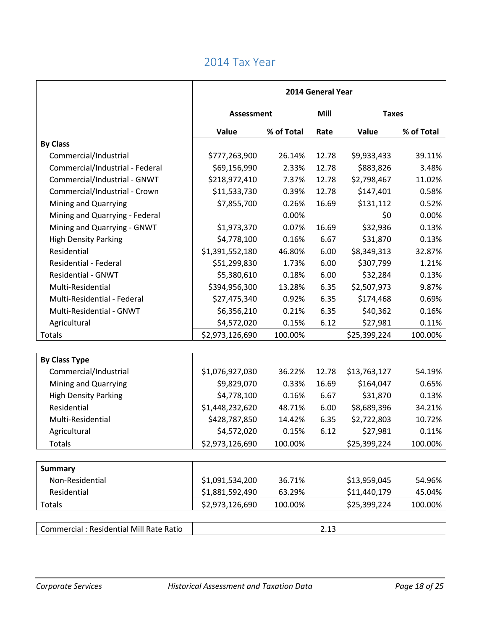|                                          | 2014 General Year |            |       |              |              |  |
|------------------------------------------|-------------------|------------|-------|--------------|--------------|--|
|                                          | <b>Assessment</b> |            | Mill  |              | <b>Taxes</b> |  |
|                                          | Value             | % of Total | Rate  | Value        | % of Total   |  |
| <b>By Class</b>                          |                   |            |       |              |              |  |
| Commercial/Industrial                    | \$777,263,900     | 26.14%     | 12.78 | \$9,933,433  | 39.11%       |  |
| Commercial/Industrial - Federal          | \$69,156,990      | 2.33%      | 12.78 | \$883,826    | 3.48%        |  |
| Commercial/Industrial - GNWT             | \$218,972,410     | 7.37%      | 12.78 | \$2,798,467  | 11.02%       |  |
| Commercial/Industrial - Crown            | \$11,533,730      | 0.39%      | 12.78 | \$147,401    | 0.58%        |  |
| Mining and Quarrying                     | \$7,855,700       | 0.26%      | 16.69 | \$131,112    | 0.52%        |  |
| Mining and Quarrying - Federal           |                   | 0.00%      |       | \$0          | 0.00%        |  |
| Mining and Quarrying - GNWT              | \$1,973,370       | 0.07%      | 16.69 | \$32,936     | 0.13%        |  |
| <b>High Density Parking</b>              | \$4,778,100       | 0.16%      | 6.67  | \$31,870     | 0.13%        |  |
| Residential                              | \$1,391,552,180   | 46.80%     | 6.00  | \$8,349,313  | 32.87%       |  |
| Residential - Federal                    | \$51,299,830      | 1.73%      | 6.00  | \$307,799    | 1.21%        |  |
| <b>Residential - GNWT</b>                | \$5,380,610       | 0.18%      | 6.00  | \$32,284     | 0.13%        |  |
| Multi-Residential                        | \$394,956,300     | 13.28%     | 6.35  | \$2,507,973  | 9.87%        |  |
| Multi-Residential - Federal              | \$27,475,340      | 0.92%      | 6.35  | \$174,468    | 0.69%        |  |
| Multi-Residential - GNWT                 | \$6,356,210       | 0.21%      | 6.35  | \$40,362     | 0.16%        |  |
| Agricultural                             | \$4,572,020       | 0.15%      | 6.12  | \$27,981     | 0.11%        |  |
| Totals                                   | \$2,973,126,690   | 100.00%    |       | \$25,399,224 | 100.00%      |  |
|                                          |                   |            |       |              |              |  |
| <b>By Class Type</b>                     |                   |            |       |              |              |  |
| Commercial/Industrial                    | \$1,076,927,030   | 36.22%     | 12.78 | \$13,763,127 | 54.19%       |  |
| Mining and Quarrying                     | \$9,829,070       | 0.33%      | 16.69 | \$164,047    | 0.65%        |  |
| <b>High Density Parking</b>              | \$4,778,100       | 0.16%      | 6.67  | \$31,870     | 0.13%        |  |
| Residential                              | \$1,448,232,620   | 48.71%     | 6.00  | \$8,689,396  | 34.21%       |  |
| Multi-Residential                        | \$428,787,850     | 14.42%     | 6.35  | \$2,722,803  | 10.72%       |  |
| Agricultural                             | \$4,572,020       | 0.15%      | 6.12  | \$27,981     | 0.11%        |  |
| <b>Totals</b>                            | \$2,973,126,690   | 100.00%    |       | \$25,399,224 | 100.00%      |  |
|                                          |                   |            |       |              |              |  |
| <b>Summary</b>                           |                   |            |       |              |              |  |
| Non-Residential                          | \$1,091,534,200   | 36.71%     |       | \$13,959,045 | 54.96%       |  |
| Residential                              | \$1,881,592,490   | 63.29%     |       | \$11,440,179 | 45.04%       |  |
| Totals                                   | \$2,973,126,690   | 100.00%    |       | \$25,399,224 | 100.00%      |  |
|                                          |                   |            |       |              |              |  |
| Commercial : Residential Mill Rate Ratio |                   |            | 2.13  |              |              |  |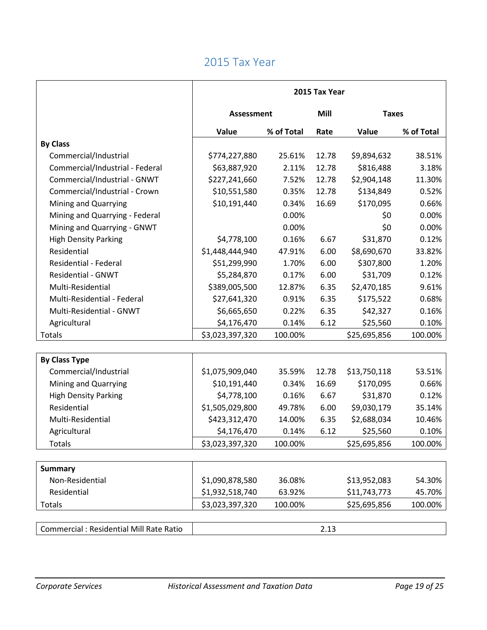|                                          | 2015 Tax Year     |            |                      |              |            |
|------------------------------------------|-------------------|------------|----------------------|--------------|------------|
|                                          | <b>Assessment</b> |            | Mill<br><b>Taxes</b> |              |            |
|                                          | Value             | % of Total | Rate                 | Value        | % of Total |
| <b>By Class</b>                          |                   |            |                      |              |            |
| Commercial/Industrial                    | \$774,227,880     | 25.61%     | 12.78                | \$9,894,632  | 38.51%     |
| Commercial/Industrial - Federal          | \$63,887,920      | 2.11%      | 12.78                | \$816,488    | 3.18%      |
| Commercial/Industrial - GNWT             | \$227,241,660     | 7.52%      | 12.78                | \$2,904,148  | 11.30%     |
| Commercial/Industrial - Crown            | \$10,551,580      | 0.35%      | 12.78                | \$134,849    | 0.52%      |
| Mining and Quarrying                     | \$10,191,440      | 0.34%      | 16.69                | \$170,095    | 0.66%      |
| Mining and Quarrying - Federal           |                   | 0.00%      |                      | \$0          | 0.00%      |
| Mining and Quarrying - GNWT              |                   | 0.00%      |                      | \$0          | 0.00%      |
| <b>High Density Parking</b>              | \$4,778,100       | 0.16%      | 6.67                 | \$31,870     | 0.12%      |
| Residential                              | \$1,448,444,940   | 47.91%     | 6.00                 | \$8,690,670  | 33.82%     |
| Residential - Federal                    | \$51,299,990      | 1.70%      | 6.00                 | \$307,800    | 1.20%      |
| <b>Residential - GNWT</b>                | \$5,284,870       | 0.17%      | 6.00                 | \$31,709     | 0.12%      |
| Multi-Residential                        | \$389,005,500     | 12.87%     | 6.35                 | \$2,470,185  | 9.61%      |
| Multi-Residential - Federal              | \$27,641,320      | 0.91%      | 6.35                 | \$175,522    | 0.68%      |
| Multi-Residential - GNWT                 | \$6,665,650       | 0.22%      | 6.35                 | \$42,327     | 0.16%      |
| Agricultural                             | \$4,176,470       | 0.14%      | 6.12                 | \$25,560     | 0.10%      |
| Totals                                   | \$3,023,397,320   | 100.00%    |                      | \$25,695,856 | 100.00%    |
|                                          |                   |            |                      |              |            |
| <b>By Class Type</b>                     |                   |            |                      |              |            |
| Commercial/Industrial                    | \$1,075,909,040   | 35.59%     | 12.78                | \$13,750,118 | 53.51%     |
| Mining and Quarrying                     | \$10,191,440      | 0.34%      | 16.69                | \$170,095    | 0.66%      |
| <b>High Density Parking</b>              | \$4,778,100       | 0.16%      | 6.67                 | \$31,870     | 0.12%      |
| Residential                              | \$1,505,029,800   | 49.78%     | 6.00                 | \$9,030,179  | 35.14%     |
| Multi-Residential                        | \$423,312,470     | 14.00%     | 6.35                 | \$2,688,034  | 10.46%     |
| Agricultural                             | \$4,176,470       | 0.14%      | 6.12                 | \$25,560     | 0.10%      |
| <b>Totals</b>                            | \$3,023,397,320   | 100.00%    |                      | \$25,695,856 | 100.00%    |
|                                          |                   |            |                      |              |            |
| <b>Summary</b>                           |                   |            |                      |              |            |
| Non-Residential                          | \$1,090,878,580   | 36.08%     |                      | \$13,952,083 | 54.30%     |
| Residential                              | \$1,932,518,740   | 63.92%     |                      | \$11,743,773 | 45.70%     |
| Totals                                   | \$3,023,397,320   | 100.00%    |                      | \$25,695,856 | 100.00%    |
|                                          |                   |            |                      |              |            |
| Commercial : Residential Mill Rate Ratio |                   |            | 2.13                 |              |            |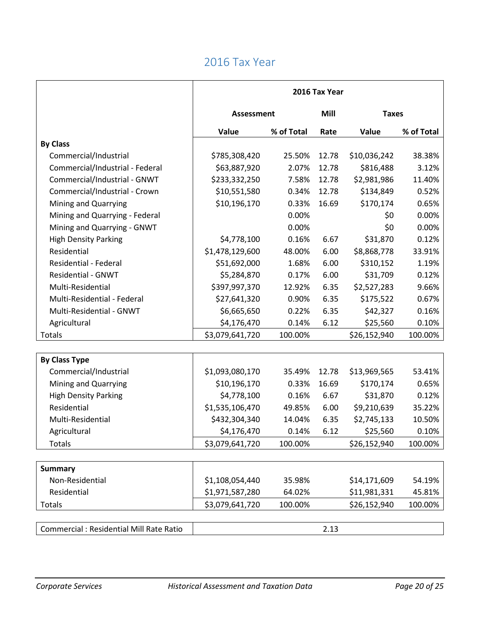|                                          | 2016 Tax Year     |            |                      |              |            |  |
|------------------------------------------|-------------------|------------|----------------------|--------------|------------|--|
|                                          | <b>Assessment</b> |            | Mill<br><b>Taxes</b> |              |            |  |
|                                          | Value             | % of Total | Rate                 | Value        | % of Total |  |
| <b>By Class</b>                          |                   |            |                      |              |            |  |
| Commercial/Industrial                    | \$785,308,420     | 25.50%     | 12.78                | \$10,036,242 | 38.38%     |  |
| Commercial/Industrial - Federal          | \$63,887,920      | 2.07%      | 12.78                | \$816,488    | 3.12%      |  |
| Commercial/Industrial - GNWT             | \$233,332,250     | 7.58%      | 12.78                | \$2,981,986  | 11.40%     |  |
| Commercial/Industrial - Crown            | \$10,551,580      | 0.34%      | 12.78                | \$134,849    | 0.52%      |  |
| Mining and Quarrying                     | \$10,196,170      | 0.33%      | 16.69                | \$170,174    | 0.65%      |  |
| Mining and Quarrying - Federal           |                   | 0.00%      |                      | \$0          | 0.00%      |  |
| Mining and Quarrying - GNWT              |                   | 0.00%      |                      | \$0          | 0.00%      |  |
| <b>High Density Parking</b>              | \$4,778,100       | 0.16%      | 6.67                 | \$31,870     | 0.12%      |  |
| Residential                              | \$1,478,129,600   | 48.00%     | 6.00                 | \$8,868,778  | 33.91%     |  |
| <b>Residential - Federal</b>             | \$51,692,000      | 1.68%      | 6.00                 | \$310,152    | 1.19%      |  |
| <b>Residential - GNWT</b>                | \$5,284,870       | 0.17%      | 6.00                 | \$31,709     | 0.12%      |  |
| Multi-Residential                        | \$397,997,370     | 12.92%     | 6.35                 | \$2,527,283  | 9.66%      |  |
| Multi-Residential - Federal              | \$27,641,320      | 0.90%      | 6.35                 | \$175,522    | 0.67%      |  |
| Multi-Residential - GNWT                 | \$6,665,650       | 0.22%      | 6.35                 | \$42,327     | 0.16%      |  |
| Agricultural                             | \$4,176,470       | 0.14%      | 6.12                 | \$25,560     | 0.10%      |  |
| Totals                                   | \$3,079,641,720   | 100.00%    |                      | \$26,152,940 | 100.00%    |  |
|                                          |                   |            |                      |              |            |  |
| <b>By Class Type</b>                     |                   |            |                      |              |            |  |
| Commercial/Industrial                    | \$1,093,080,170   | 35.49%     | 12.78                | \$13,969,565 | 53.41%     |  |
| Mining and Quarrying                     | \$10,196,170      | 0.33%      | 16.69                | \$170,174    | 0.65%      |  |
| <b>High Density Parking</b>              | \$4,778,100       | 0.16%      | 6.67                 | \$31,870     | 0.12%      |  |
| Residential                              | \$1,535,106,470   | 49.85%     | 6.00                 | \$9,210,639  | 35.22%     |  |
| Multi-Residential                        | \$432,304,340     | 14.04%     | 6.35                 | \$2,745,133  | 10.50%     |  |
| Agricultural                             | \$4,176,470       | 0.14%      | 6.12                 | \$25,560     | 0.10%      |  |
| <b>Totals</b>                            | \$3,079,641,720   | 100.00%    |                      | \$26,152,940 | 100.00%    |  |
|                                          |                   |            |                      |              |            |  |
| <b>Summary</b>                           |                   |            |                      |              |            |  |
| Non-Residential                          | \$1,108,054,440   | 35.98%     |                      | \$14,171,609 | 54.19%     |  |
| Residential                              | \$1,971,587,280   | 64.02%     |                      | \$11,981,331 | 45.81%     |  |
| Totals                                   | \$3,079,641,720   | 100.00%    |                      | \$26,152,940 | 100.00%    |  |
|                                          |                   |            |                      |              |            |  |
| Commercial : Residential Mill Rate Ratio |                   |            | 2.13                 |              |            |  |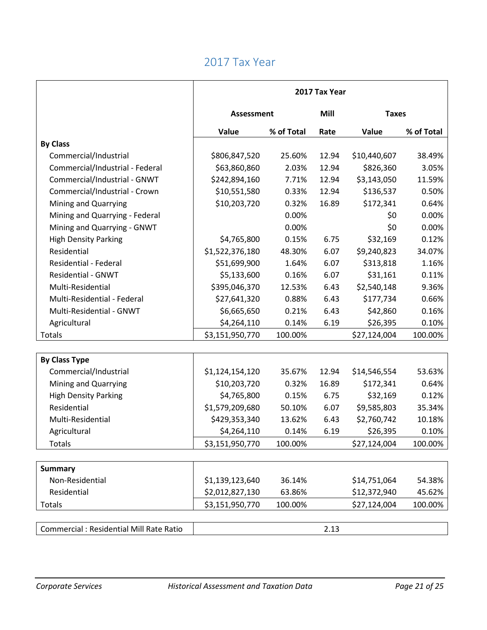|                                          | 2017 Tax Year     |            |       |              |            |
|------------------------------------------|-------------------|------------|-------|--------------|------------|
|                                          | <b>Assessment</b> |            | Mill  | <b>Taxes</b> |            |
|                                          | Value             | % of Total | Rate  | Value        | % of Total |
| <b>By Class</b>                          |                   |            |       |              |            |
| Commercial/Industrial                    | \$806,847,520     | 25.60%     | 12.94 | \$10,440,607 | 38.49%     |
| Commercial/Industrial - Federal          | \$63,860,860      | 2.03%      | 12.94 | \$826,360    | 3.05%      |
| Commercial/Industrial - GNWT             | \$242,894,160     | 7.71%      | 12.94 | \$3,143,050  | 11.59%     |
| Commercial/Industrial - Crown            | \$10,551,580      | 0.33%      | 12.94 | \$136,537    | 0.50%      |
| Mining and Quarrying                     | \$10,203,720      | 0.32%      | 16.89 | \$172,341    | 0.64%      |
| Mining and Quarrying - Federal           |                   | 0.00%      |       | \$0          | 0.00%      |
| Mining and Quarrying - GNWT              |                   | 0.00%      |       | \$0          | 0.00%      |
| <b>High Density Parking</b>              | \$4,765,800       | 0.15%      | 6.75  | \$32,169     | 0.12%      |
| Residential                              | \$1,522,376,180   | 48.30%     | 6.07  | \$9,240,823  | 34.07%     |
| <b>Residential - Federal</b>             | \$51,699,900      | 1.64%      | 6.07  | \$313,818    | 1.16%      |
| <b>Residential - GNWT</b>                | \$5,133,600       | 0.16%      | 6.07  | \$31,161     | 0.11%      |
| Multi-Residential                        | \$395,046,370     | 12.53%     | 6.43  | \$2,540,148  | 9.36%      |
| Multi-Residential - Federal              | \$27,641,320      | 0.88%      | 6.43  | \$177,734    | 0.66%      |
| Multi-Residential - GNWT                 | \$6,665,650       | 0.21%      | 6.43  | \$42,860     | 0.16%      |
| Agricultural                             | \$4,264,110       | 0.14%      | 6.19  | \$26,395     | 0.10%      |
| Totals                                   | \$3,151,950,770   | 100.00%    |       | \$27,124,004 | 100.00%    |
|                                          |                   |            |       |              |            |
| <b>By Class Type</b>                     |                   |            |       |              |            |
| Commercial/Industrial                    | \$1,124,154,120   | 35.67%     | 12.94 | \$14,546,554 | 53.63%     |
| Mining and Quarrying                     | \$10,203,720      | 0.32%      | 16.89 | \$172,341    | 0.64%      |
| <b>High Density Parking</b>              | \$4,765,800       | 0.15%      | 6.75  | \$32,169     | 0.12%      |
| Residential                              | \$1,579,209,680   | 50.10%     | 6.07  | \$9,585,803  | 35.34%     |
| Multi-Residential                        | \$429,353,340     | 13.62%     | 6.43  | \$2,760,742  | 10.18%     |
| Agricultural                             | \$4,264,110       | 0.14%      | 6.19  | \$26,395     | 0.10%      |
| <b>Totals</b>                            | \$3,151,950,770   | 100.00%    |       | \$27,124,004 | 100.00%    |
|                                          |                   |            |       |              |            |
| <b>Summary</b>                           |                   |            |       |              |            |
| Non-Residential                          | \$1,139,123,640   | 36.14%     |       | \$14,751,064 | 54.38%     |
| Residential                              | \$2,012,827,130   | 63.86%     |       | \$12,372,940 | 45.62%     |
| Totals                                   | \$3,151,950,770   | 100.00%    |       | \$27,124,004 | 100.00%    |
|                                          |                   |            |       |              |            |
| Commercial : Residential Mill Rate Ratio |                   |            | 2.13  |              |            |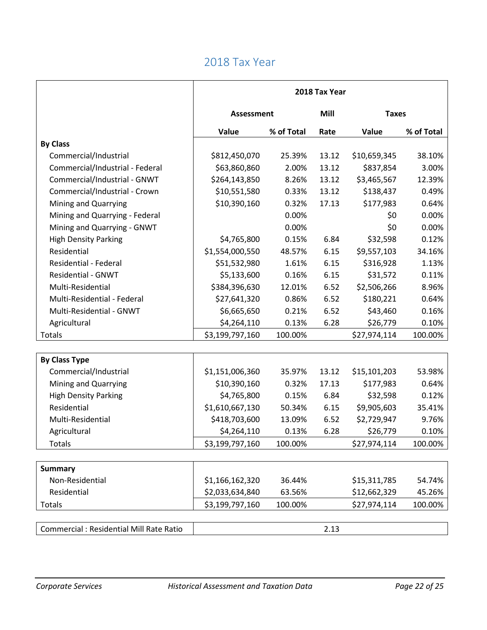|                                                | 2018 Tax Year     |            |                      |              |            |  |
|------------------------------------------------|-------------------|------------|----------------------|--------------|------------|--|
|                                                | <b>Assessment</b> |            | Mill<br><b>Taxes</b> |              |            |  |
|                                                | Value             | % of Total | Rate                 | Value        | % of Total |  |
| <b>By Class</b>                                |                   |            |                      |              |            |  |
| Commercial/Industrial                          | \$812,450,070     | 25.39%     | 13.12                | \$10,659,345 | 38.10%     |  |
| Commercial/Industrial - Federal                | \$63,860,860      | 2.00%      | 13.12                | \$837,854    | 3.00%      |  |
| Commercial/Industrial - GNWT                   | \$264,143,850     | 8.26%      | 13.12                | \$3,465,567  | 12.39%     |  |
| Commercial/Industrial - Crown                  | \$10,551,580      | 0.33%      | 13.12                | \$138,437    | 0.49%      |  |
| Mining and Quarrying                           | \$10,390,160      | 0.32%      | 17.13                | \$177,983    | 0.64%      |  |
| Mining and Quarrying - Federal                 |                   | 0.00%      |                      | \$0          | 0.00%      |  |
| Mining and Quarrying - GNWT                    |                   | 0.00%      |                      | \$0          | 0.00%      |  |
| <b>High Density Parking</b>                    | \$4,765,800       | 0.15%      | 6.84                 | \$32,598     | 0.12%      |  |
| Residential                                    | \$1,554,000,550   | 48.57%     | 6.15                 | \$9,557,103  | 34.16%     |  |
| Residential - Federal                          | \$51,532,980      | 1.61%      | 6.15                 | \$316,928    | 1.13%      |  |
| <b>Residential - GNWT</b>                      | \$5,133,600       | 0.16%      | 6.15                 | \$31,572     | 0.11%      |  |
| Multi-Residential                              | \$384,396,630     | 12.01%     | 6.52                 | \$2,506,266  | 8.96%      |  |
| Multi-Residential - Federal                    | \$27,641,320      | 0.86%      | 6.52                 | \$180,221    | 0.64%      |  |
| Multi-Residential - GNWT                       | \$6,665,650       | 0.21%      | 6.52                 | \$43,460     | 0.16%      |  |
| Agricultural                                   | \$4,264,110       | 0.13%      | 6.28                 | \$26,779     | 0.10%      |  |
| Totals                                         | \$3,199,797,160   | 100.00%    |                      | \$27,974,114 | 100.00%    |  |
|                                                |                   |            |                      |              |            |  |
| <b>By Class Type</b>                           |                   |            |                      |              |            |  |
| Commercial/Industrial                          | \$1,151,006,360   | 35.97%     | 13.12                | \$15,101,203 | 53.98%     |  |
| Mining and Quarrying                           | \$10,390,160      | 0.32%      | 17.13                | \$177,983    | 0.64%      |  |
| <b>High Density Parking</b>                    | \$4,765,800       | 0.15%      | 6.84                 | \$32,598     | 0.12%      |  |
| Residential                                    | \$1,610,667,130   | 50.34%     | 6.15                 | \$9,905,603  | 35.41%     |  |
| Multi-Residential                              | \$418,703,600     | 13.09%     | 6.52                 | \$2,729,947  | 9.76%      |  |
| Agricultural                                   | \$4,264,110       | 0.13%      | 6.28                 | \$26,779     | 0.10%      |  |
| Totals                                         | \$3,199,797,160   | 100.00%    |                      | \$27,974,114 | 100.00%    |  |
|                                                |                   |            |                      |              |            |  |
| <b>Summary</b>                                 |                   |            |                      |              |            |  |
| Non-Residential                                | \$1,166,162,320   | 36.44%     |                      | \$15,311,785 | 54.74%     |  |
| Residential                                    | \$2,033,634,840   | 63.56%     |                      | \$12,662,329 | 45.26%     |  |
| Totals                                         | \$3,199,797,160   | 100.00%    |                      | \$27,974,114 | 100.00%    |  |
|                                                |                   |            |                      |              |            |  |
| <b>Commercial: Residential Mill Rate Ratio</b> |                   |            | 2.13                 |              |            |  |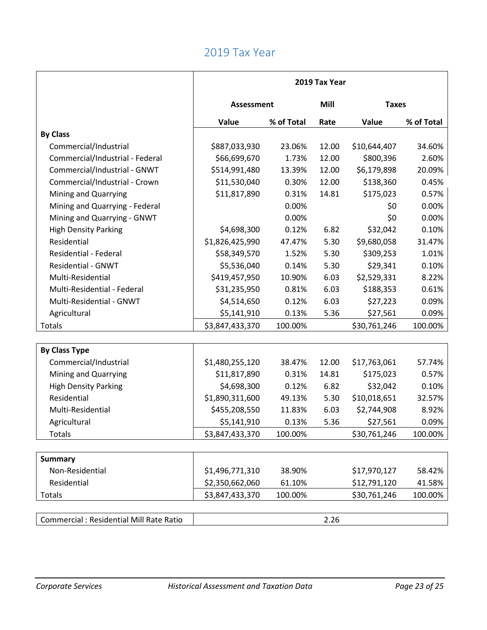|                                          | 2019 Tax Year   |            |                      |              |            |
|------------------------------------------|-----------------|------------|----------------------|--------------|------------|
|                                          | Assessment      |            | Mill<br><b>Taxes</b> |              |            |
|                                          | Value           | % of Total | Rate                 | Value        | % of Total |
| <b>By Class</b>                          |                 |            |                      |              |            |
| Commercial/Industrial                    | \$887,033,930   | 23.06%     | 12.00                | \$10,644,407 | 34.60%     |
| Commercial/Industrial - Federal          | \$66,699,670    | 1.73%      | 12.00                | \$800,396    | 2.60%      |
| Commercial/Industrial - GNWT             | \$514,991,480   | 13.39%     | 12.00                | \$6,179,898  | 20.09%     |
| Commercial/Industrial - Crown            | \$11,530,040    | 0.30%      | 12.00                | \$138,360    | 0.45%      |
| Mining and Quarrying                     | \$11,817,890    | 0.31%      | 14.81                | \$175,023    | 0.57%      |
| Mining and Quarrying - Federal           |                 | 0.00%      |                      | \$0          | 0.00%      |
| Mining and Quarrying - GNWT              |                 | 0.00%      |                      | \$0          | 0.00%      |
| <b>High Density Parking</b>              | \$4,698,300     | 0.12%      | 6.82                 | \$32,042     | 0.10%      |
| Residential                              | \$1,826,425,990 | 47.47%     | 5.30                 | \$9,680,058  | 31.47%     |
| Residential - Federal                    | \$58,349,570    | 1.52%      | 5.30                 | \$309,253    | 1.01%      |
| <b>Residential - GNWT</b>                | \$5,536,040     | 0.14%      | 5.30                 | \$29,341     | 0.10%      |
| Multi-Residential                        | \$419,457,950   | 10.90%     | 6.03                 | \$2,529,331  | 8.22%      |
| Multi-Residential - Federal              | \$31,235,950    | 0.81%      | 6.03                 | \$188,353    | 0.61%      |
| Multi-Residential - GNWT                 | \$4,514,650     | 0.12%      | 6.03                 | \$27,223     | 0.09%      |
| Agricultural                             | \$5,141,910     | 0.13%      | 5.36                 | \$27,561     | 0.09%      |
| Totals                                   | \$3,847,433,370 | 100.00%    |                      | \$30,761,246 | 100.00%    |
|                                          |                 |            |                      |              |            |
| <b>By Class Type</b>                     |                 |            |                      |              |            |
| Commercial/Industrial                    | \$1,480,255,120 | 38.47%     | 12.00                | \$17,763,061 | 57.74%     |
| Mining and Quarrying                     | \$11,817,890    | 0.31%      | 14.81                | \$175,023    | 0.57%      |
| <b>High Density Parking</b>              | \$4,698,300     | 0.12%      | 6.82                 | \$32,042     | 0.10%      |
| Residential                              | \$1,890,311,600 | 49.13%     | 5.30                 | \$10,018,651 | 32.57%     |
| Multi-Residential                        | \$455,208,550   | 11.83%     | 6.03                 | \$2,744,908  | 8.92%      |
| Agricultural                             | \$5,141,910     | 0.13%      | 5.36                 | \$27,561     | 0.09%      |
| <b>Totals</b>                            | \$3,847,433,370 | 100.00%    |                      | \$30,761,246 | 100.00%    |
|                                          |                 |            |                      |              |            |
| <b>Summary</b>                           |                 |            |                      |              |            |
| Non-Residential                          | \$1,496,771,310 | 38.90%     |                      | \$17,970,127 | 58.42%     |
| Residential                              | \$2,350,662,060 | 61.10%     |                      | \$12,791,120 | 41.58%     |
| <b>Totals</b>                            | \$3,847,433,370 | 100.00%    |                      | \$30,761,246 | 100.00%    |
|                                          |                 |            |                      |              |            |
| Commercial : Residential Mill Rate Ratio |                 |            | 2.26                 |              |            |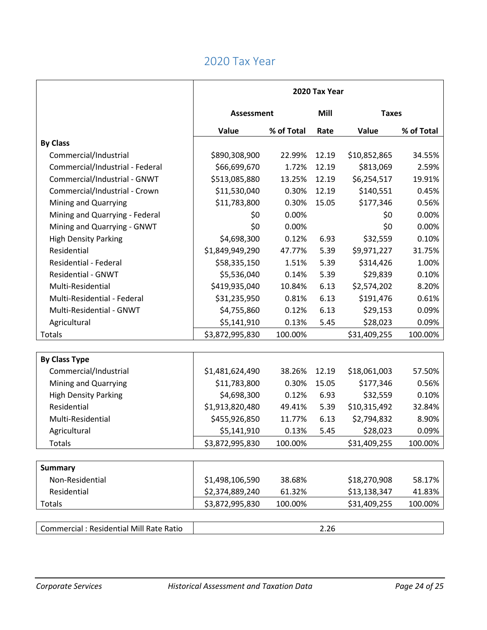|                                                | 2020 Tax Year     |            |                      |              |            |
|------------------------------------------------|-------------------|------------|----------------------|--------------|------------|
|                                                | <b>Assessment</b> |            | Mill<br><b>Taxes</b> |              |            |
|                                                | Value             | % of Total | Rate                 | Value        | % of Total |
| <b>By Class</b>                                |                   |            |                      |              |            |
| Commercial/Industrial                          | \$890,308,900     | 22.99%     | 12.19                | \$10,852,865 | 34.55%     |
| Commercial/Industrial - Federal                | \$66,699,670      | 1.72%      | 12.19                | \$813,069    | 2.59%      |
| Commercial/Industrial - GNWT                   | \$513,085,880     | 13.25%     | 12.19                | \$6,254,517  | 19.91%     |
| Commercial/Industrial - Crown                  | \$11,530,040      | 0.30%      | 12.19                | \$140,551    | 0.45%      |
| Mining and Quarrying                           | \$11,783,800      | 0.30%      | 15.05                | \$177,346    | 0.56%      |
| Mining and Quarrying - Federal                 | \$0               | 0.00%      |                      | \$0          | 0.00%      |
| Mining and Quarrying - GNWT                    | \$0               | 0.00%      |                      | \$0          | 0.00%      |
| <b>High Density Parking</b>                    | \$4,698,300       | 0.12%      | 6.93                 | \$32,559     | 0.10%      |
| Residential                                    | \$1,849,949,290   | 47.77%     | 5.39                 | \$9,971,227  | 31.75%     |
| Residential - Federal                          | \$58,335,150      | 1.51%      | 5.39                 | \$314,426    | 1.00%      |
| <b>Residential - GNWT</b>                      | \$5,536,040       | 0.14%      | 5.39                 | \$29,839     | 0.10%      |
| Multi-Residential                              | \$419,935,040     | 10.84%     | 6.13                 | \$2,574,202  | 8.20%      |
| Multi-Residential - Federal                    | \$31,235,950      | 0.81%      | 6.13                 | \$191,476    | 0.61%      |
| Multi-Residential - GNWT                       | \$4,755,860       | 0.12%      | 6.13                 | \$29,153     | 0.09%      |
| Agricultural                                   | \$5,141,910       | 0.13%      | 5.45                 | \$28,023     | 0.09%      |
| Totals                                         | \$3,872,995,830   | 100.00%    |                      | \$31,409,255 | 100.00%    |
|                                                |                   |            |                      |              |            |
| <b>By Class Type</b>                           |                   |            |                      |              |            |
| Commercial/Industrial                          | \$1,481,624,490   | 38.26%     | 12.19                | \$18,061,003 | 57.50%     |
| Mining and Quarrying                           | \$11,783,800      | 0.30%      | 15.05                | \$177,346    | 0.56%      |
| <b>High Density Parking</b>                    | \$4,698,300       | 0.12%      | 6.93                 | \$32,559     | 0.10%      |
| Residential                                    | \$1,913,820,480   | 49.41%     | 5.39                 | \$10,315,492 | 32.84%     |
| Multi-Residential                              | \$455,926,850     | 11.77%     | 6.13                 | \$2,794,832  | 8.90%      |
| Agricultural                                   | \$5,141,910       | 0.13%      | 5.45                 | \$28,023     | 0.09%      |
| <b>Totals</b>                                  | \$3,872,995,830   | 100.00%    |                      | \$31,409,255 | 100.00%    |
|                                                |                   |            |                      |              |            |
| <b>Summary</b>                                 |                   |            |                      |              |            |
| Non-Residential                                | \$1,498,106,590   | 38.68%     |                      | \$18,270,908 | 58.17%     |
| Residential                                    | \$2,374,889,240   | 61.32%     |                      | \$13,138,347 | 41.83%     |
| Totals                                         | \$3,872,995,830   | 100.00%    |                      | \$31,409,255 | 100.00%    |
|                                                |                   |            |                      |              |            |
| <b>Commercial: Residential Mill Rate Ratio</b> |                   |            | 2.26                 |              |            |